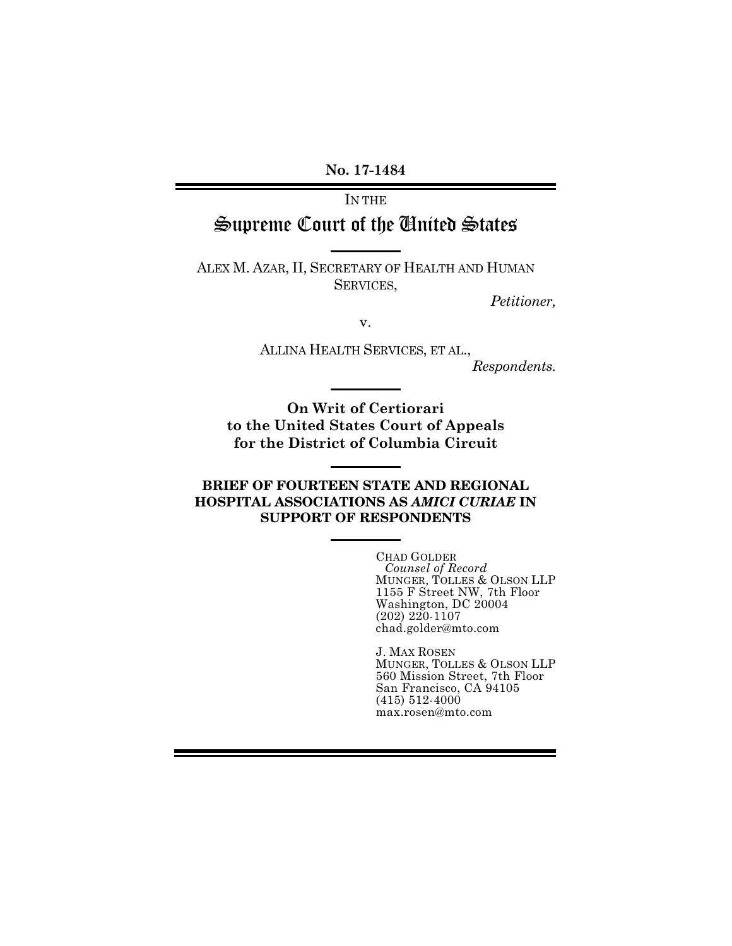**No. 17-1484**

# IN THE Supreme Court of the United States

ALEX M. AZAR, II, SECRETARY OF HEALTH AND HUMAN SERVICES,

*Petitioner,*

v.

ALLINA HEALTH SERVICES, ET AL.,

*Respondents.*

**On Writ of Certiorari to the United States Court of Appeals for the District of Columbia Circuit**

### BRIEF OF FOURTEEN STATE AND REGIONAL HOSPITAL ASSOCIATIONS AS *AMICI CURIAE* IN SUPPORT OF RESPONDENTS

CHAD GOLDER *Counsel of Record* MUNGER, TOLLES & OLSON LLP 1155 F Street NW, 7th Floor Washington, DC 20004 (202) 220-1107 chad.golder@mto.com

J. MAX ROSEN MUNGER, TOLLES & OLSON LLP 560 Mission Street, 7th Floor San Francisco, CA 94105 (415) 512-4000 max.rosen@mto.com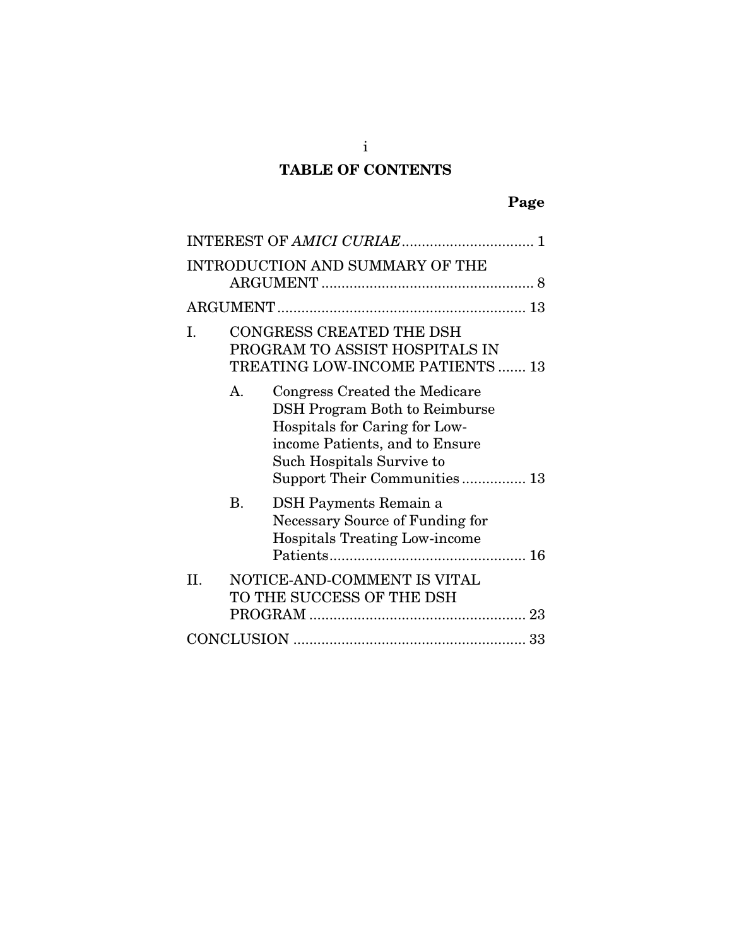# TABLE OF CONTENTS

|         |           | INTRODUCTION AND SUMMARY OF THE                                                                                                                                                                       |
|---------|-----------|-------------------------------------------------------------------------------------------------------------------------------------------------------------------------------------------------------|
|         |           |                                                                                                                                                                                                       |
| Ι.      |           | CONGRESS CREATED THE DSH<br>PROGRAM TO ASSIST HOSPITALS IN<br>TREATING LOW-INCOME PATIENTS  13                                                                                                        |
|         | A.        | Congress Created the Medicare<br><b>DSH Program Both to Reimburse</b><br>Hospitals for Caring for Low-<br>income Patients, and to Ensure<br>Such Hospitals Survive to<br>Support Their Communities 13 |
|         | <b>B.</b> | DSH Payments Remain a<br><b>Necessary Source of Funding for</b><br><b>Hospitals Treating Low-income</b>                                                                                               |
| $\Pi$ . |           | NOTICE-AND-COMMENT IS VITAL<br>TO THE SUCCESS OF THE DSH                                                                                                                                              |
|         |           |                                                                                                                                                                                                       |

i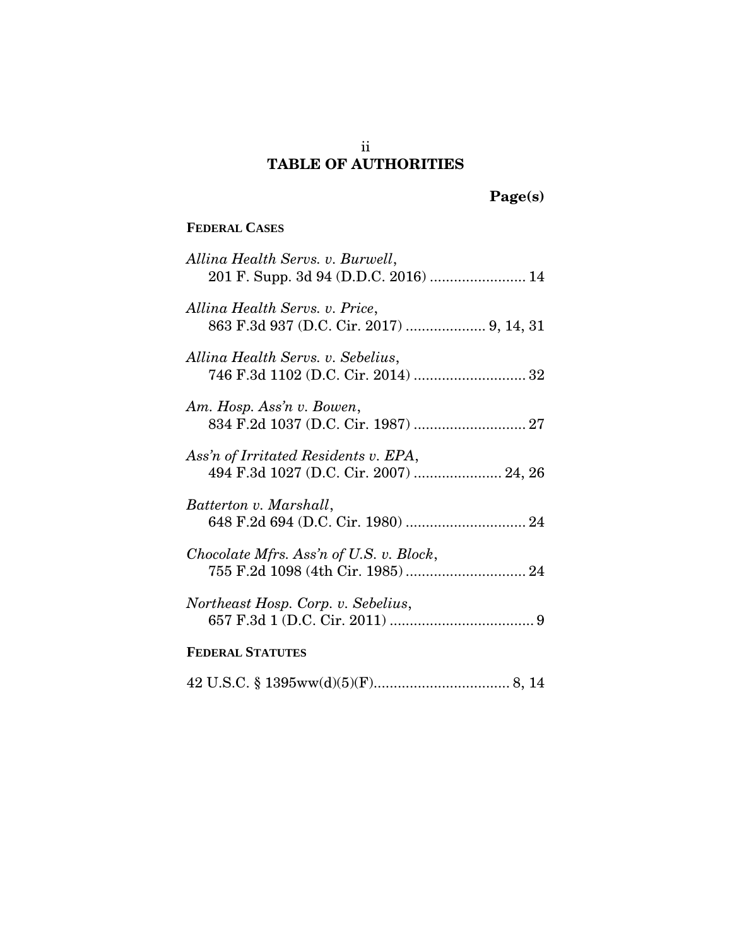# TABLE OF AUTHORITIES

# Page(s)

### **FEDERAL CASES**

| Allina Health Servs. v. Burwell,<br>201 F. Supp. 3d 94 (D.D.C. 2016)  14   |
|----------------------------------------------------------------------------|
| Allina Health Servs. v. Price,<br>863 F.3d 937 (D.C. Cir. 2017)  9, 14, 31 |
| Allina Health Servs. v. Sebelius,                                          |
| Am. Hosp. Ass'n v. Bowen,                                                  |
| Ass'n of Irritated Residents v. EPA,                                       |
| Batterton v. Marshall,                                                     |
| Chocolate Mfrs. Ass'n of U.S. v. Block,                                    |
| Northeast Hosp. Corp. v. Sebelius,                                         |
| <b>FEDERAL STATUTES</b>                                                    |
|                                                                            |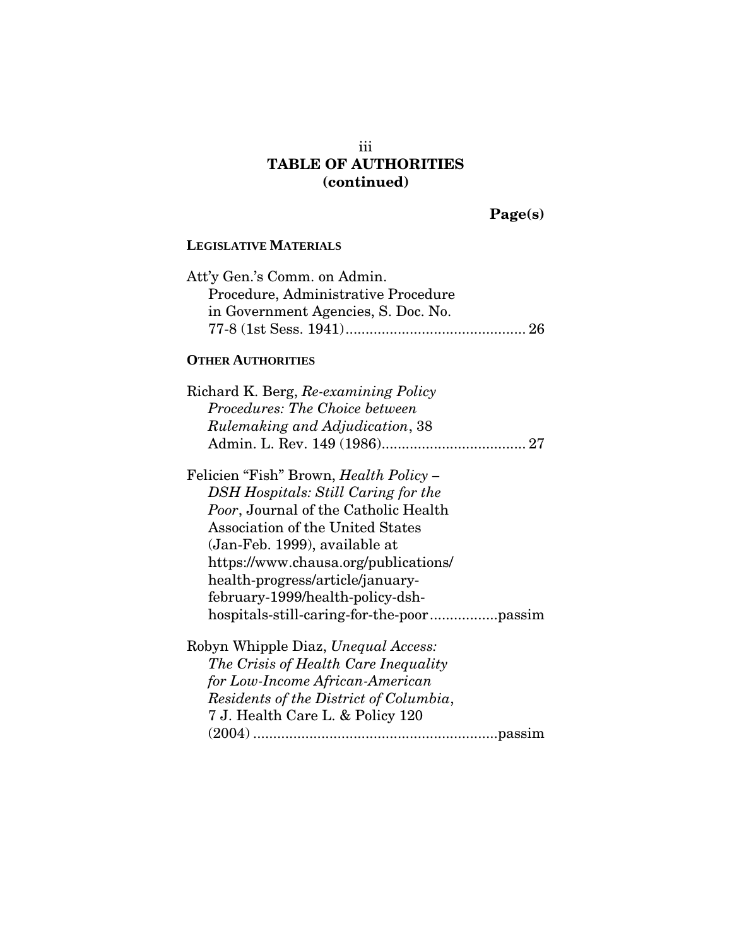### iii TABLE OF AUTHORITIES (continued)

Page(s)

### **LEGISLATIVE MATERIALS**

| Att'y Gen.'s Comm. on Admin.        |  |
|-------------------------------------|--|
| Procedure, Administrative Procedure |  |
| in Government Agencies, S. Doc. No. |  |
|                                     |  |
|                                     |  |

### **OTHER AUTHORITIES**

| Richard K. Berg, Re-examining Policy          |
|-----------------------------------------------|
| Procedures: The Choice between                |
| Rulemaking and Adjudication, 38               |
|                                               |
| Felicien "Fish" Brown, <i>Health Policy</i> – |
| DSH Hospitals: Still Caring for the           |
| <i>Poor</i> , Journal of the Catholic Health  |
| Association of the United States              |
| (Jan-Feb. 1999), available at                 |
| https://www.chausa.org/publications/          |
| health-progress/article/january-              |
| february-1999/health-policy-dsh-              |
|                                               |
|                                               |

Robyn Whipple Diaz, *Unequal Access: The Crisis of Health Care Inequality for Low-Income African-American Residents of the District of Columbia*, 7 J. Health Care L. & Policy 120 (2004) .............................................................passim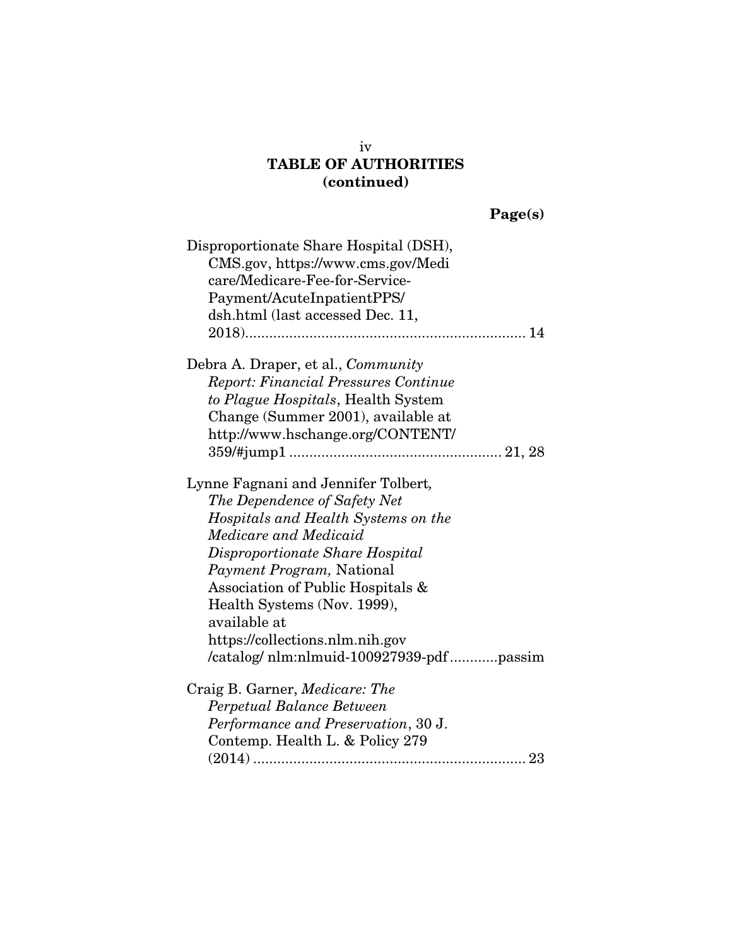## TABLE OF AUTHORITIES (continued)

| age(s) |  |
|--------|--|

| Disproportionate Share Hospital (DSH),<br>CMS.gov, https://www.cms.gov/Medi<br>care/Medicare-Fee-for-Service-<br>Payment/AcuteInpatientPPS/<br>dsh.html (last accessed Dec. 11, |
|---------------------------------------------------------------------------------------------------------------------------------------------------------------------------------|
| Debra A. Draper, et al., <i>Community</i>                                                                                                                                       |
| <b>Report: Financial Pressures Continue</b>                                                                                                                                     |
| to Plague Hospitals, Health System                                                                                                                                              |
| Change (Summer 2001), available at                                                                                                                                              |
| http://www.hschange.org/CONTENT/                                                                                                                                                |
|                                                                                                                                                                                 |
| Lynne Fagnani and Jennifer Tolbert,                                                                                                                                             |
| The Dependence of Safety Net                                                                                                                                                    |
| Hospitals and Health Systems on the                                                                                                                                             |
| Medicare and Medicaid                                                                                                                                                           |
| Disproportionate Share Hospital                                                                                                                                                 |
| Payment Program, National                                                                                                                                                       |
| Association of Public Hospitals &                                                                                                                                               |
| Health Systems (Nov. 1999),                                                                                                                                                     |
| available at                                                                                                                                                                    |
| https://collections.nlm.nih.gov                                                                                                                                                 |
| /catalog/ nlm:nlmuid-100927939-pdfpassim                                                                                                                                        |
| Craig B. Garner, Medicare: The                                                                                                                                                  |
| Perpetual Balance Between                                                                                                                                                       |
| Performance and Preservation, 30 J.                                                                                                                                             |
| Contemp. Health L. & Policy 279                                                                                                                                                 |
|                                                                                                                                                                                 |

iv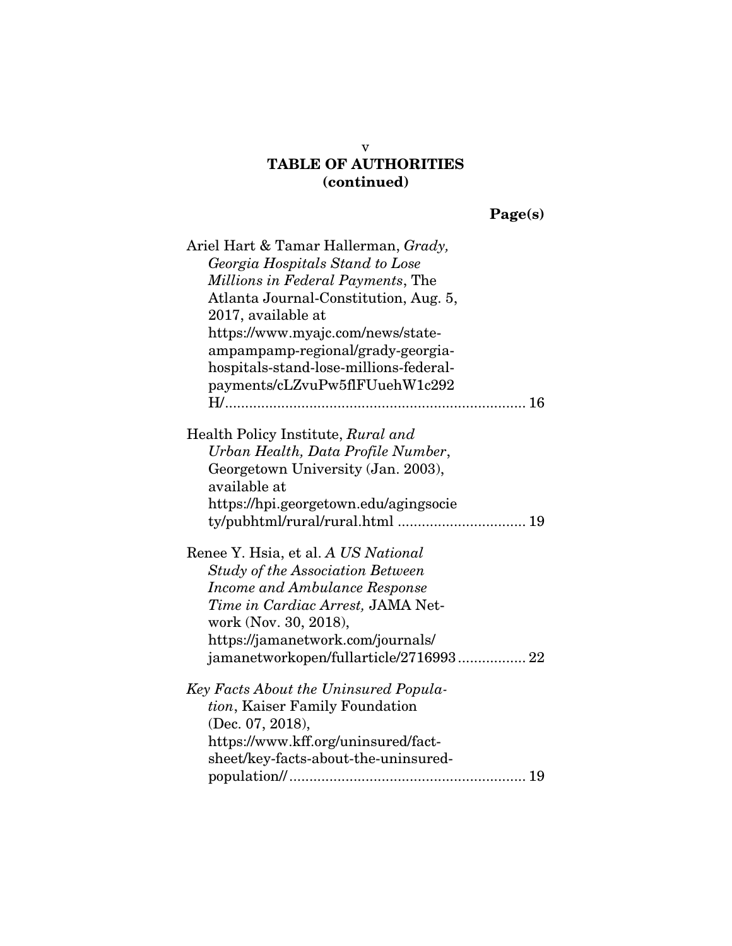## TABLE OF AUTHORITIES (continued)

| л | QC(S) |  |
|---|-------|--|
|   |       |  |

| Ariel Hart & Tamar Hallerman, Grady,<br>Georgia Hospitals Stand to Lose<br><i>Millions in Federal Payments, The</i><br>Atlanta Journal-Constitution, Aug. 5,<br>2017, available at<br>https://www.myajc.com/news/state-<br>ampampamp-regional/grady-georgia-<br>hospitals-stand-lose-millions-federal-<br>payments/cLZvuPw5flFUuehW1c292 |
|------------------------------------------------------------------------------------------------------------------------------------------------------------------------------------------------------------------------------------------------------------------------------------------------------------------------------------------|
| Health Policy Institute, Rural and<br>Urban Health, Data Profile Number,<br>Georgetown University (Jan. 2003),<br>available at<br>https://hpi.georgetown.edu/agingsocie                                                                                                                                                                  |
| Renee Y. Hsia, et al. A US National<br><b>Study of the Association Between</b><br>Income and Ambulance Response<br><i>Time in Cardiac Arrest</i> , JAMA Net-<br>work (Nov. 30, 2018),<br>https://jamanetwork.com/journals/<br>jamanetworkopen/fullarticle/2716993 22                                                                     |
| Key Facts About the Uninsured Popula-<br>tion, Kaiser Family Foundation<br>(Dec. 07, 2018),<br>https://www.kff.org/uninsured/fact-<br>sheet/key-facts-about-the-uninsured-                                                                                                                                                               |

v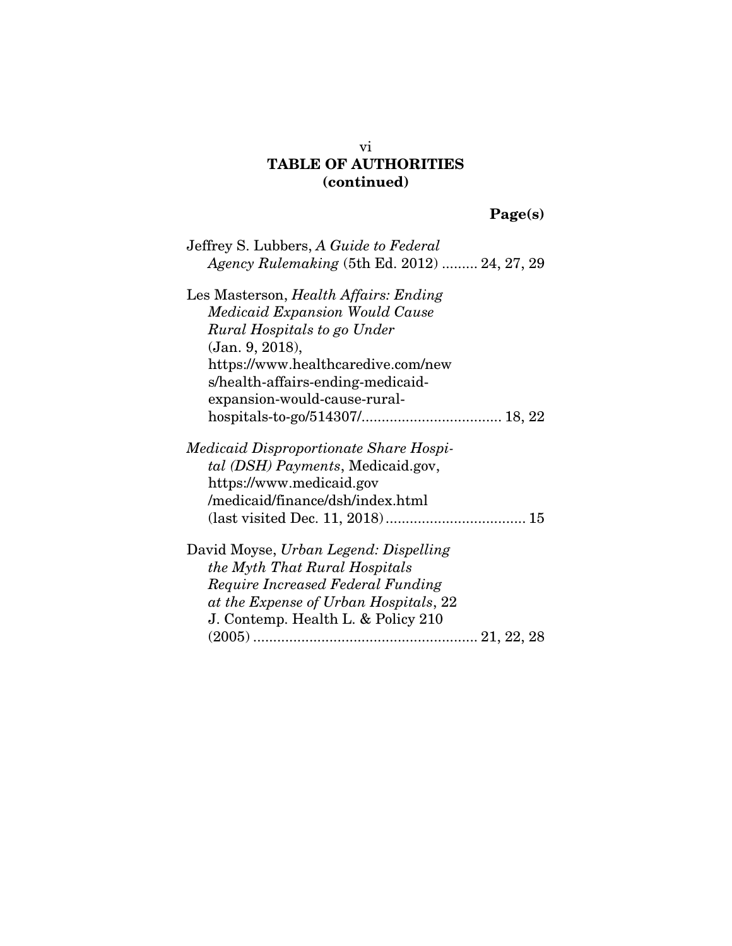## vi TABLE OF AUTHORITIES (continued)

# Page(s)

| Jeffrey S. Lubbers, A Guide to Federal       |
|----------------------------------------------|
| Agency Rulemaking (5th Ed. 2012)  24, 27, 29 |
| Les Masterson, Health Affairs: Ending        |
| <i>Medicaid Expansion Would Cause</i>        |
| Rural Hospitals to go Under                  |
| (Jan. 9, 2018),                              |
| https://www.healthcaredive.com/new           |
| s/health-affairs-ending-medicaid-            |
| expansion-would-cause-rural-                 |
|                                              |
| Medicaid Disproportionate Share Hospi-       |
| tal (DSH) Payments, Medicaid.gov,            |
| https://www.medicaid.gov                     |
| /medicaid/finance/dsh/index.html             |
|                                              |
| David Moyse, Urban Legend: Dispelling        |
| the Myth That Rural Hospitals                |
| Require Increased Federal Funding            |
| at the Expense of Urban Hospitals, 22        |
| J. Contemp. Health L. & Policy 210           |
|                                              |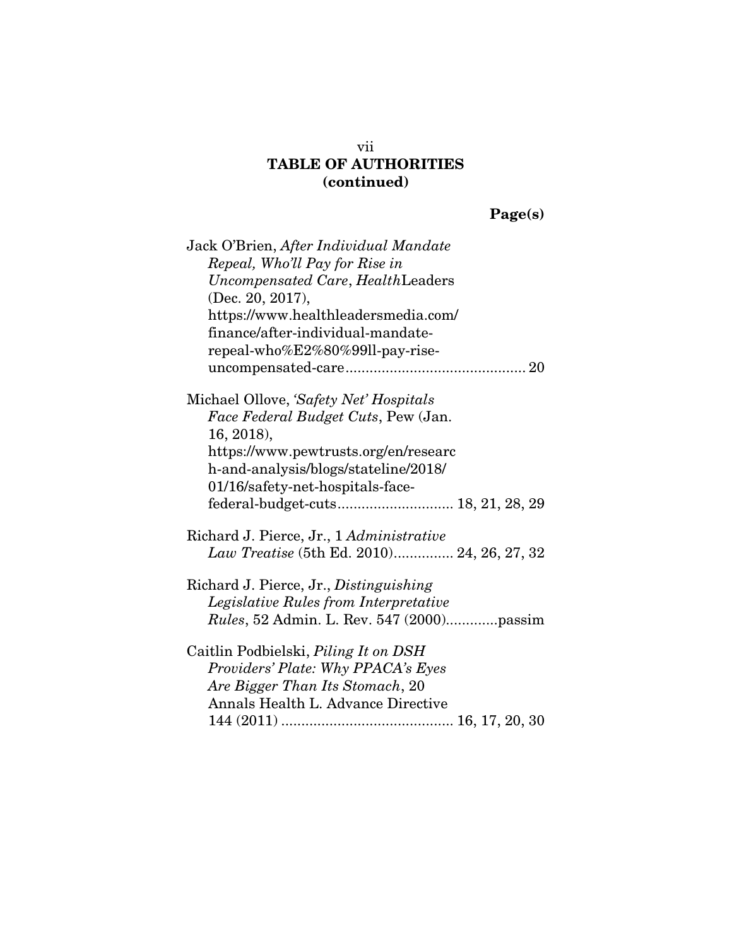## vii TABLE OF AUTHORITIES (continued)

| age(s) |  |
|--------|--|
|--------|--|

| Jack O'Brien, After Individual Mandate        |
|-----------------------------------------------|
| Repeal, Who'll Pay for Rise in                |
| Uncompensated Care, HealthLeaders             |
| (Dec. 20, 2017),                              |
| https://www.healthleadersmedia.com/           |
| finance/after-individual-mandate-             |
| repeal-who%E2%80%99ll-pay-rise-               |
|                                               |
| Michael Ollove, 'Safety Net' Hospitals        |
| Face Federal Budget Cuts, Pew (Jan.           |
| $16, 2018$ ,                                  |
| https://www.pewtrusts.org/en/researc          |
| h-and-analysis/blogs/stateline/2018/          |
| 01/16/safety-net-hospitals-face-              |
|                                               |
| Richard J. Pierce, Jr., 1 Administrative      |
| Law Treatise (5th Ed. 2010) 24, 26, 27, 32    |
| Richard J. Pierce, Jr., <i>Distinguishing</i> |
| Legislative Rules from Interpretative         |
| Rules, 52 Admin. L. Rev. 547 (2000)passim     |
| Caitlin Podbielski, Piling It on DSH          |
| Providers' Plate: Why PPACA's Eyes            |
| Are Bigger Than Its Stomach, 20               |
| Annals Health L. Advance Directive            |
|                                               |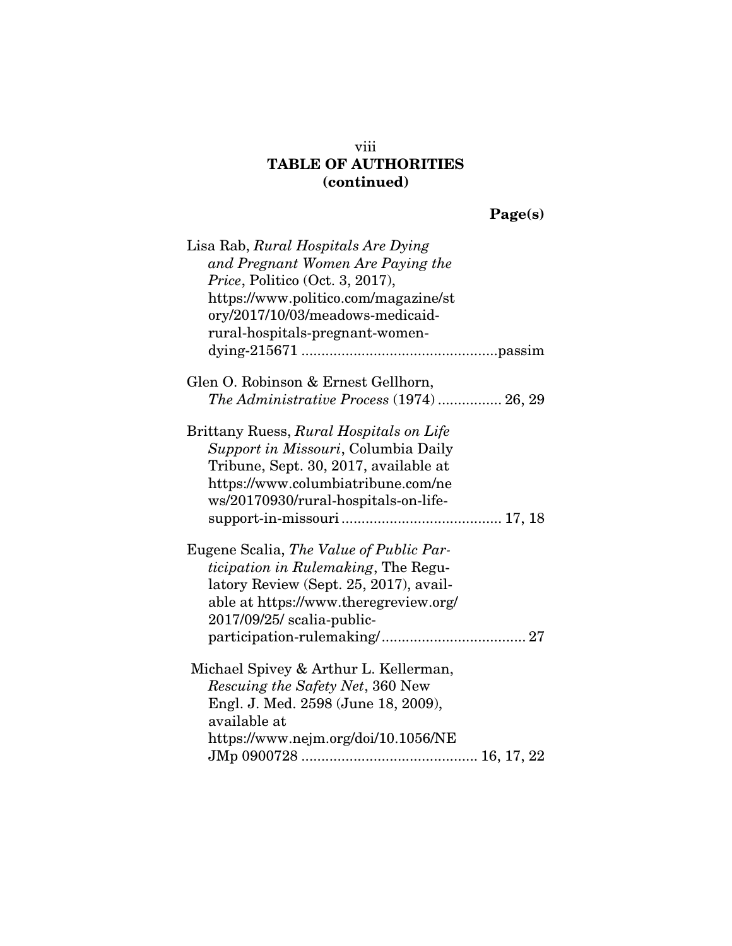## viii TABLE OF AUTHORITIES (continued)

Page(s)

| Lisa Rab, Rural Hospitals Are Dying                                  |
|----------------------------------------------------------------------|
| and Pregnant Women Are Paying the<br>Price, Politico (Oct. 3, 2017), |
| https://www.politico.com/magazine/st                                 |
| ory/2017/10/03/meadows-medicaid-                                     |
| rural-hospitals-pregnant-women-                                      |
|                                                                      |
| Glen O. Robinson & Ernest Gellhorn,                                  |
| The Administrative Process (1974)  26, 29                            |
| Brittany Ruess, Rural Hospitals on Life                              |
| Support in Missouri, Columbia Daily                                  |
| Tribune, Sept. 30, 2017, available at                                |
| https://www.columbiatribune.com/ne                                   |
| ws/20170930/rural-hospitals-on-life-                                 |
|                                                                      |
| Eugene Scalia, The Value of Public Par-                              |
| <i>ticipation in Rulemaking</i> , The Regu-                          |
| latory Review (Sept. 25, 2017), avail-                               |
| able at https://www.theregreview.org/                                |
| 2017/09/25/ scalia-public-                                           |
|                                                                      |
| Michael Spivey & Arthur L. Kellerman,                                |
| <i>Rescuing the Safety Net, 360 New</i>                              |
| Engl. J. Med. 2598 (June 18, 2009),                                  |
| available at                                                         |
| https://www.nejm.org/doi/10.1056/NE                                  |
|                                                                      |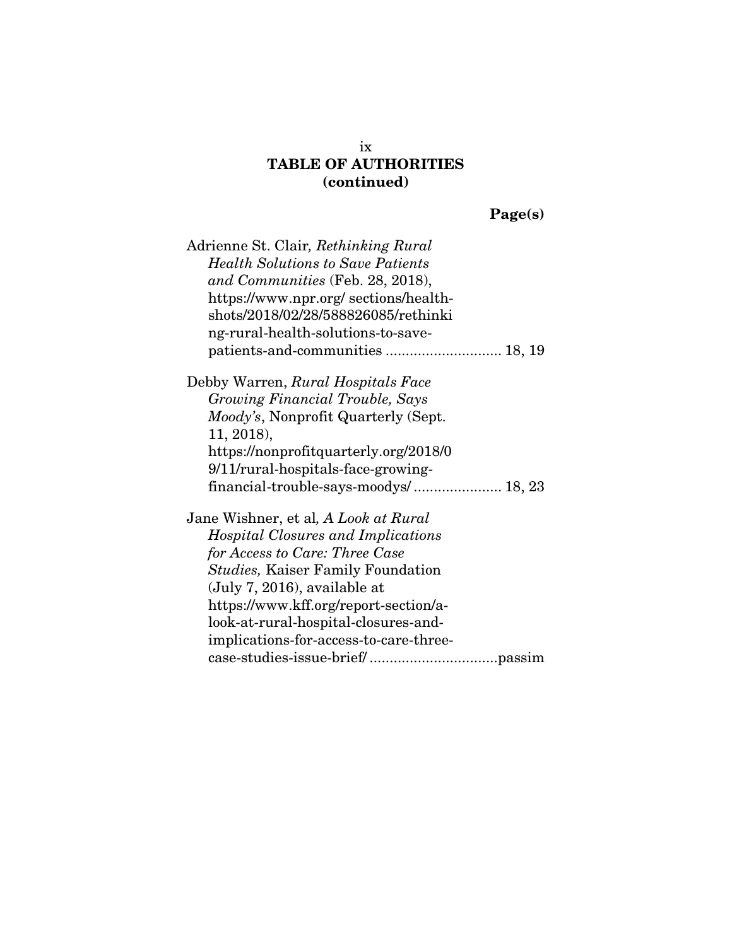# TABLE OF AUTHORITIES (continued)

Page(s)

| Adrienne St. Clair, Rethinking Rural        |
|---------------------------------------------|
| <b>Health Solutions to Save Patients</b>    |
| and Communities (Feb. 28, 2018),            |
| https://www.npr.org/sections/health-        |
| shots/2018/02/28/588826085/rethinki         |
| ng-rural-health-solutions-to-save-          |
| patients-and-communities  18, 19            |
| Debby Warren, Rural Hospitals Face          |
| Growing Financial Trouble, Says             |
| <i>Moody's</i> , Nonprofit Quarterly (Sept. |
| 11, 2018),                                  |
| https://nonprofitquarterly.org/2018/0       |
| 9/11/rural-hospitals-face-growing-          |
| financial-trouble-says-moodys/ 18, 23       |
| Jane Wishner, et al, A Look at Rural        |
| Hospital Closures and Implications          |
| for Access to Care: Three Case              |
| <i>Studies</i> , Kaiser Family Foundation   |
| (July 7, 2016), available at                |
| https://www.kff.org/report-section/a-       |
| look-at-rural-hospital-closures-and-        |
| implications-for-access-to-care-three-      |
|                                             |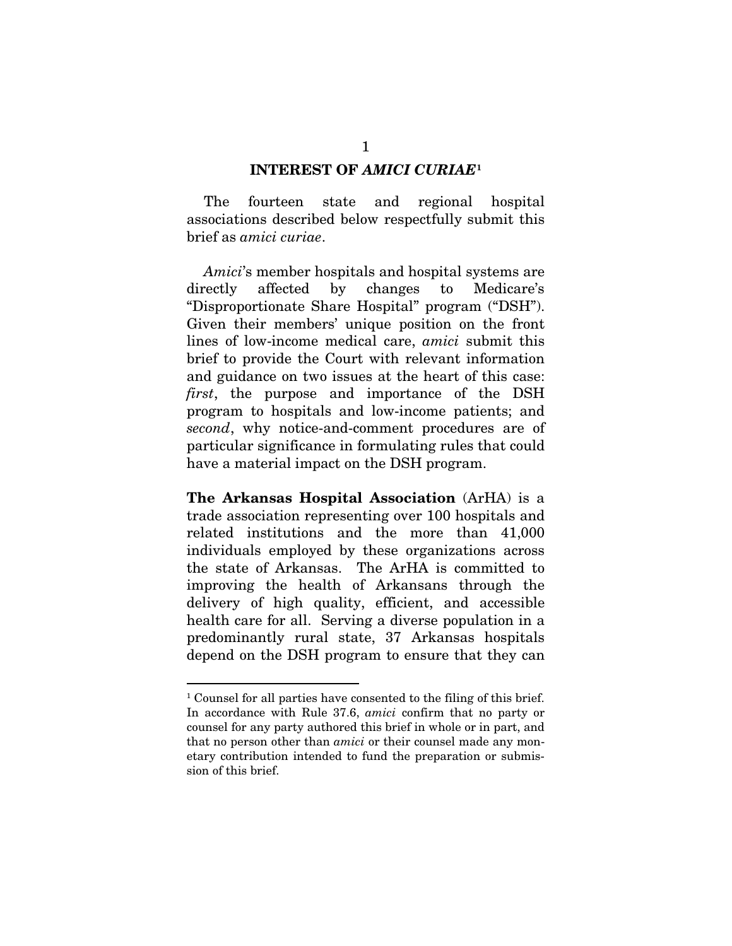### INTEREST OF *AMICI CURIAE*[1](#page-10-0)

The fourteen state and regional hospital associations described below respectfully submit this brief as *amici curiae*.

*Amici*'s member hospitals and hospital systems are directly affected by changes to Medicare's "Disproportionate Share Hospital" program ("DSH"). Given their members' unique position on the front lines of low-income medical care, *amici* submit this brief to provide the Court with relevant information and guidance on two issues at the heart of this case: *first*, the purpose and importance of the DSH program to hospitals and low-income patients; and *second*, why notice-and-comment procedures are of particular significance in formulating rules that could have a material impact on the DSH program.

The Arkansas Hospital Association (ArHA) is a trade association representing over 100 hospitals and related institutions and the more than 41,000 individuals employed by these organizations across the state of Arkansas. The ArHA is committed to improving the health of Arkansans through the delivery of high quality, efficient, and accessible health care for all. Serving a diverse population in a predominantly rural state, 37 Arkansas hospitals depend on the DSH program to ensure that they can

<span id="page-10-0"></span> <sup>1</sup> Counsel for all parties have consented to the filing of this brief. In accordance with Rule 37.6, *amici* confirm that no party or counsel for any party authored this brief in whole or in part, and that no person other than *amici* or their counsel made any monetary contribution intended to fund the preparation or submission of this brief.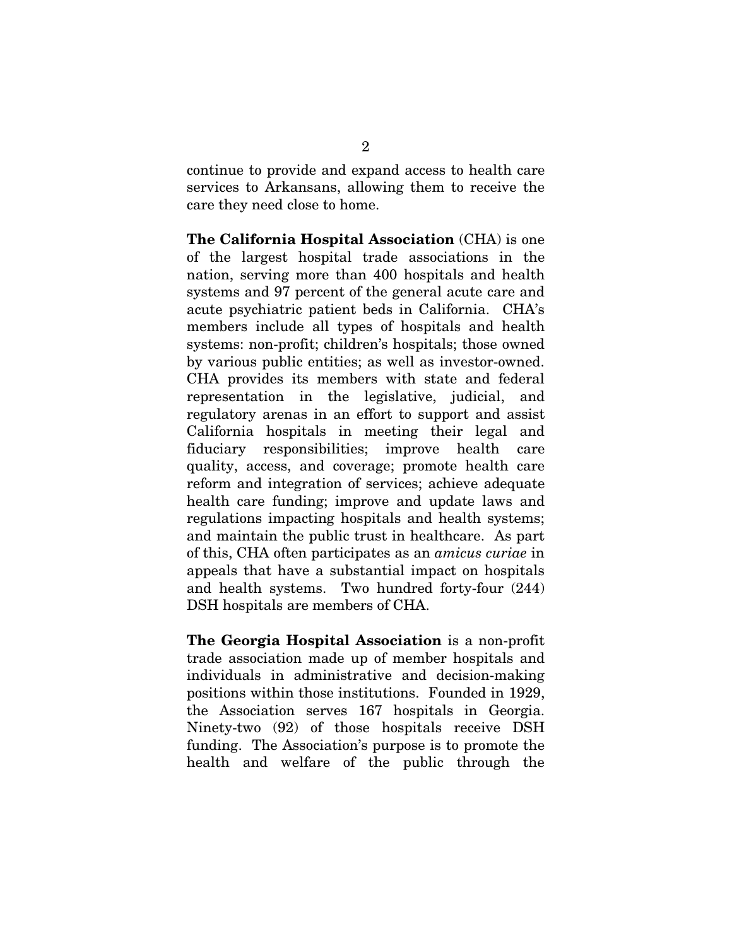continue to provide and expand access to health care services to Arkansans, allowing them to receive the care they need close to home.

The California Hospital Association (CHA) is one of the largest hospital trade associations in the nation, serving more than 400 hospitals and health systems and 97 percent of the general acute care and acute psychiatric patient beds in California. CHA's members include all types of hospitals and health systems: non-profit; children's hospitals; those owned by various public entities; as well as investor-owned. CHA provides its members with state and federal representation in the legislative, judicial, and regulatory arenas in an effort to support and assist California hospitals in meeting their legal and fiduciary responsibilities; improve health care quality, access, and coverage; promote health care reform and integration of services; achieve adequate health care funding; improve and update laws and regulations impacting hospitals and health systems; and maintain the public trust in healthcare. As part of this, CHA often participates as an *amicus curiae* in appeals that have a substantial impact on hospitals and health systems. Two hundred forty-four (244) DSH hospitals are members of CHA.

The Georgia Hospital Association is a non-profit trade association made up of member hospitals and individuals in administrative and decision-making positions within those institutions. Founded in 1929, the Association serves 167 hospitals in Georgia. Ninety-two (92) of those hospitals receive DSH funding. The Association's purpose is to promote the health and welfare of the public through the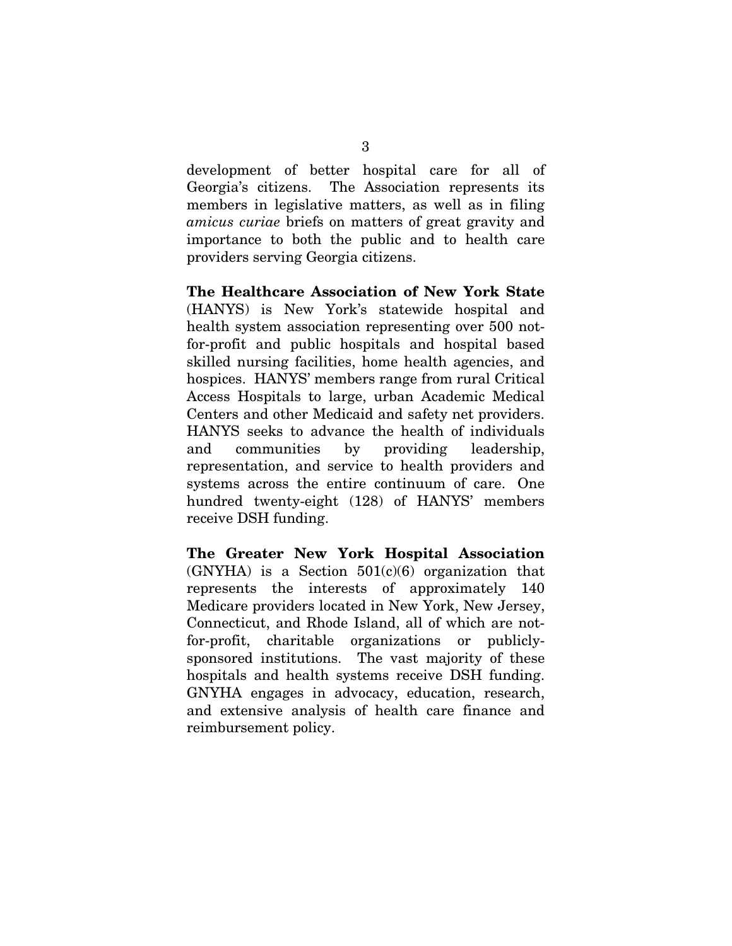development of better hospital care for all of Georgia's citizens. The Association represents its members in legislative matters, as well as in filing *amicus curiae* briefs on matters of great gravity and importance to both the public and to health care providers serving Georgia citizens.

The Healthcare Association of New York State (HANYS) is New York's statewide hospital and health system association representing over 500 notfor-profit and public hospitals and hospital based skilled nursing facilities, home health agencies, and hospices. HANYS' members range from rural Critical Access Hospitals to large, urban Academic Medical Centers and other Medicaid and safety net providers. HANYS seeks to advance the health of individuals and communities by providing leadership, representation, and service to health providers and systems across the entire continuum of care. One hundred twenty-eight (128) of HANYS' members receive DSH funding.

The Greater New York Hospital Association  $(GNYHA)$  is a Section  $501(c)(6)$  organization that represents the interests of approximately 140 Medicare providers located in New York, New Jersey, Connecticut, and Rhode Island, all of which are notfor-profit, charitable organizations or publiclysponsored institutions. The vast majority of these hospitals and health systems receive DSH funding. GNYHA engages in advocacy, education, research, and extensive analysis of health care finance and reimbursement policy.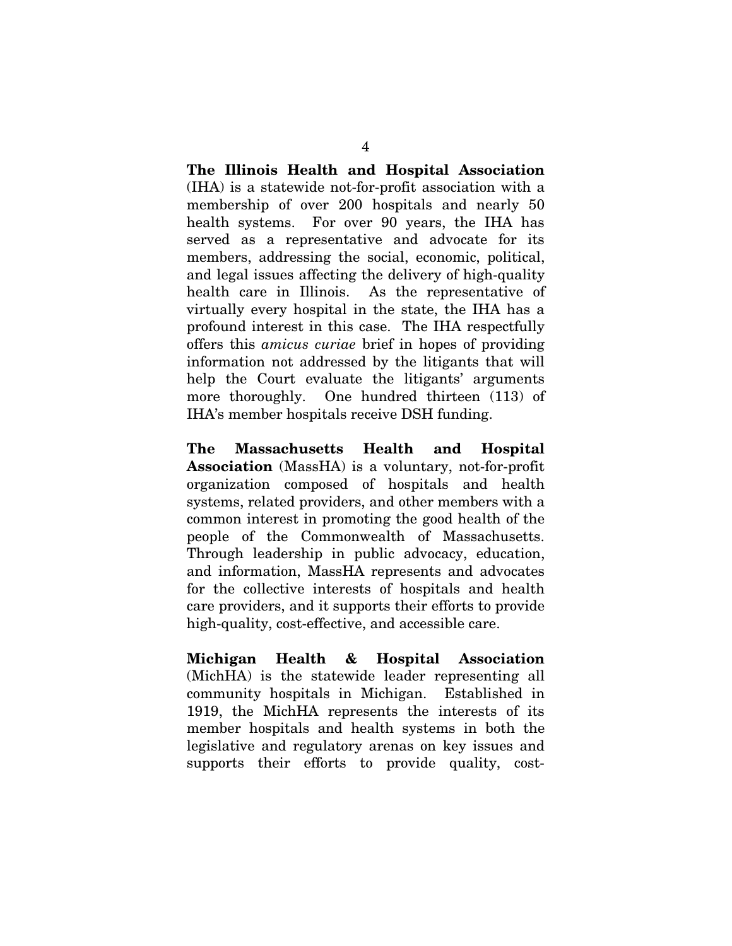The Illinois Health and Hospital Association (IHA) is a statewide not-for-profit association with a membership of over 200 hospitals and nearly 50 health systems. For over 90 years, the IHA has served as a representative and advocate for its members, addressing the social, economic, political, and legal issues affecting the delivery of high-quality health care in Illinois. As the representative of virtually every hospital in the state, the IHA has a profound interest in this case. The IHA respectfully offers this *amicus curiae* brief in hopes of providing information not addressed by the litigants that will help the Court evaluate the litigants' arguments more thoroughly. One hundred thirteen (113) of IHA's member hospitals receive DSH funding.

The Massachusetts Health and Hospital Association (MassHA) is a voluntary, not-for-profit organization composed of hospitals and health systems, related providers, and other members with a common interest in promoting the good health of the people of the Commonwealth of Massachusetts. Through leadership in public advocacy, education, and information, MassHA represents and advocates for the collective interests of hospitals and health care providers, and it supports their efforts to provide high-quality, cost-effective, and accessible care.

Michigan Health & Hospital Association (MichHA) is the statewide leader representing all community hospitals in Michigan. Established in 1919, the MichHA represents the interests of its member hospitals and health systems in both the legislative and regulatory arenas on key issues and supports their efforts to provide quality, cost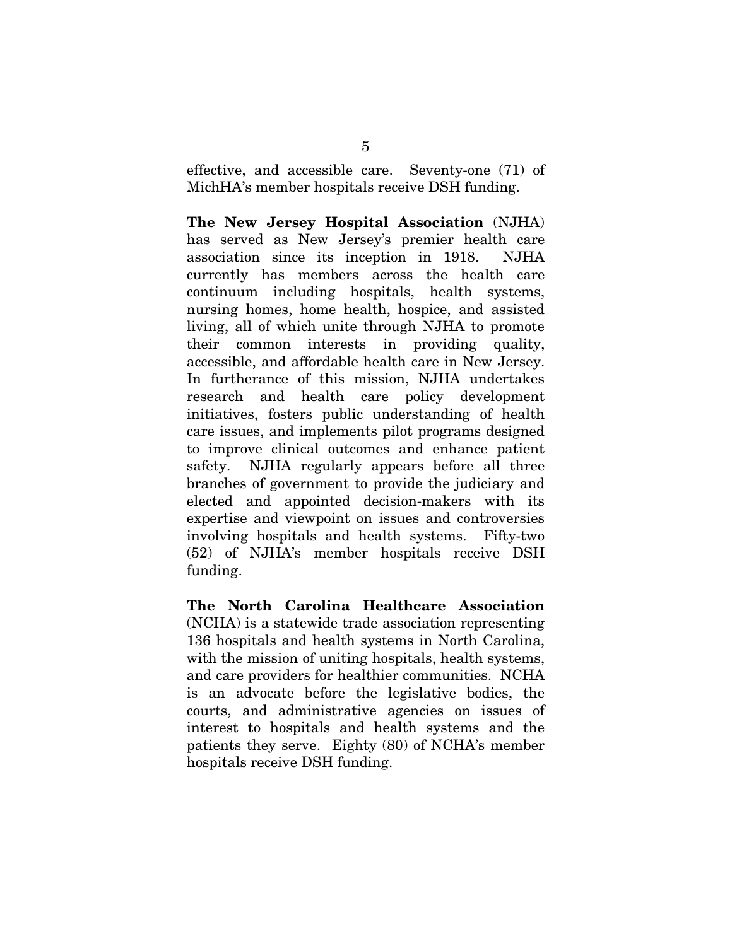effective, and accessible care. Seventy-one (71) of MichHA's member hospitals receive DSH funding.

The New Jersey Hospital Association (NJHA) has served as New Jersey's premier health care association since its inception in 1918. NJHA currently has members across the health care continuum including hospitals, health systems, nursing homes, home health, hospice, and assisted living, all of which unite through NJHA to promote their common interests in providing quality, accessible, and affordable health care in New Jersey. In furtherance of this mission, NJHA undertakes research and health care policy development initiatives, fosters public understanding of health care issues, and implements pilot programs designed to improve clinical outcomes and enhance patient safety. NJHA regularly appears before all three branches of government to provide the judiciary and elected and appointed decision-makers with its expertise and viewpoint on issues and controversies involving hospitals and health systems. Fifty-two (52) of NJHA's member hospitals receive DSH funding.

The North Carolina Healthcare Association (NCHA) is a statewide trade association representing 136 hospitals and health systems in North Carolina, with the mission of uniting hospitals, health systems, and care providers for healthier communities. NCHA is an advocate before the legislative bodies, the courts, and administrative agencies on issues of interest to hospitals and health systems and the patients they serve. Eighty (80) of NCHA's member hospitals receive DSH funding.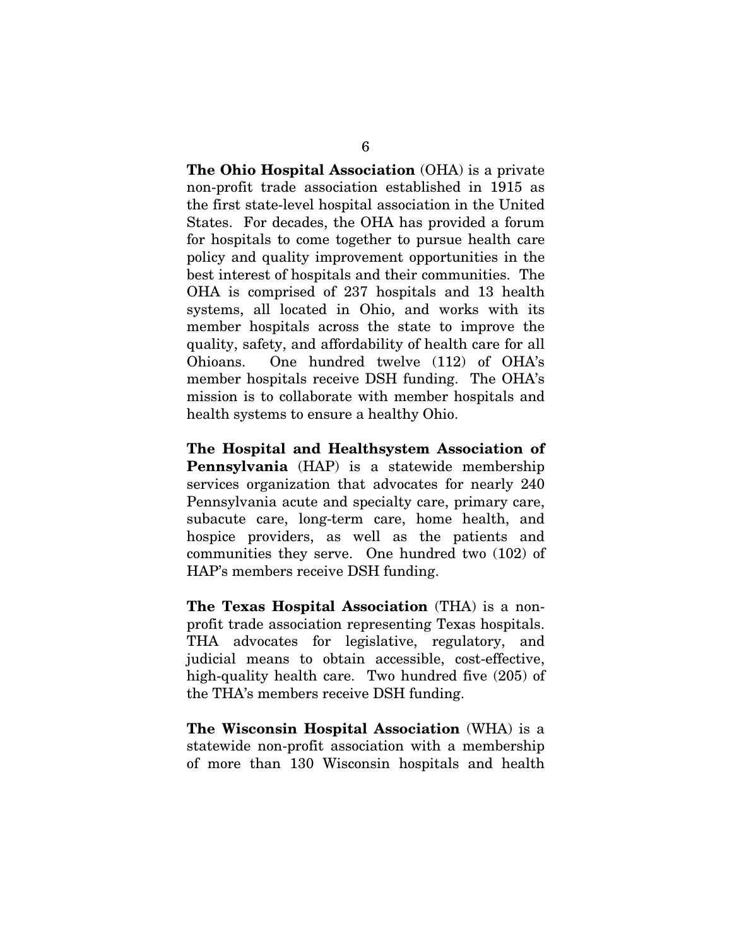The Ohio Hospital Association (OHA) is a private non-profit trade association established in 1915 as the first state-level hospital association in the United States. For decades, the OHA has provided a forum for hospitals to come together to pursue health care policy and quality improvement opportunities in the best interest of hospitals and their communities. The OHA is comprised of 237 hospitals and 13 health systems, all located in Ohio, and works with its member hospitals across the state to improve the quality, safety, and affordability of health care for all Ohioans. One hundred twelve (112) of OHA's member hospitals receive DSH funding. The OHA's mission is to collaborate with member hospitals and health systems to ensure a healthy Ohio.

The Hospital and Healthsystem Association of Pennsylvania (HAP) is a statewide membership services organization that advocates for nearly 240 Pennsylvania acute and specialty care, primary care, subacute care, long-term care, home health, and hospice providers, as well as the patients and communities they serve. One hundred two (102) of HAP's members receive DSH funding.

The Texas Hospital Association (THA) is a nonprofit trade association representing Texas hospitals. THA advocates for legislative, regulatory, and judicial means to obtain accessible, cost-effective, high-quality health care. Two hundred five (205) of the THA's members receive DSH funding.

The Wisconsin Hospital Association (WHA) is a statewide non-profit association with a membership of more than 130 Wisconsin hospitals and health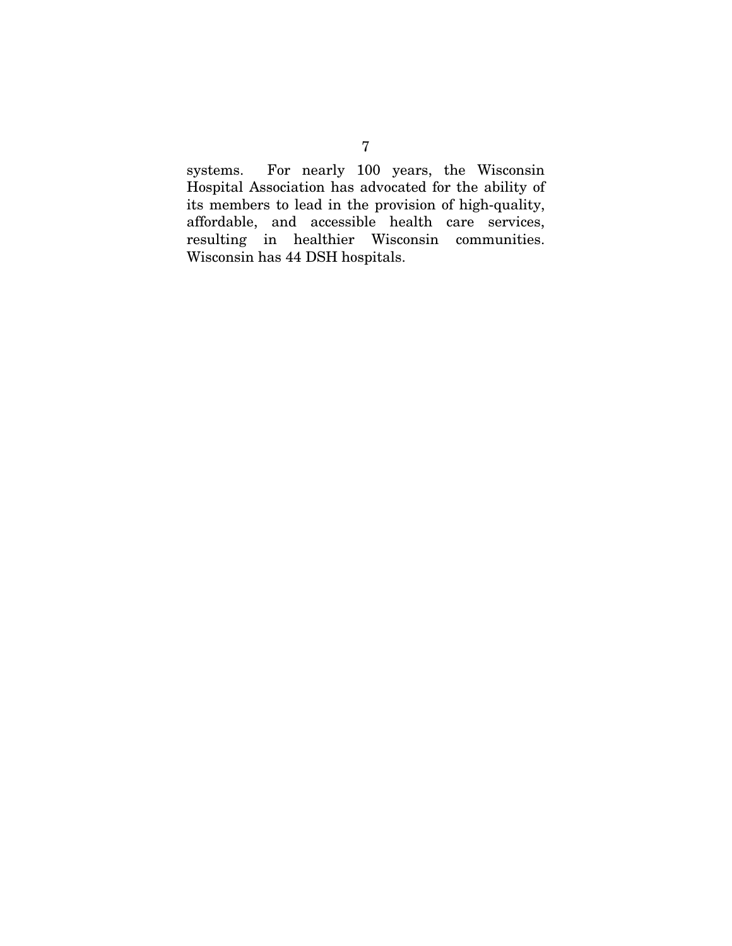systems. For nearly 100 years, the Wisconsin Hospital Association has advocated for the ability of its members to lead in the provision of high-quality, affordable, and accessible health care services, resulting in healthier Wisconsin communities. Wisconsin has 44 DSH hospitals.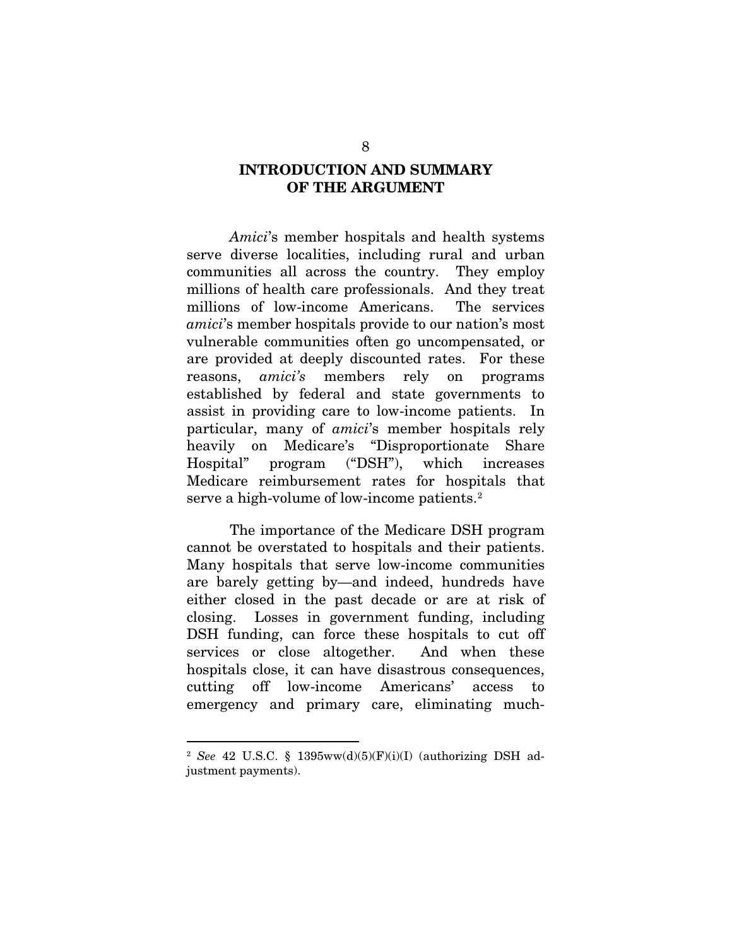### INTRODUCTION AND SUMMARY OF THE ARGUMENT

*Amici*'s member hospitals and health systems serve diverse localities, including rural and urban communities all across the country. They employ millions of health care professionals. And they treat millions of low-income Americans. The services *amici*'s member hospitals provide to our nation's most vulnerable communities often go uncompensated, or are provided at deeply discounted rates. For these reasons, *amici's* members rely on programs established by federal and state governments to assist in providing care to low-income patients. In particular, many of *amici*'s member hospitals rely heavily on Medicare's "Disproportionate Share Hospital" program ("DSH"), which increases Medicare reimbursement rates for hospitals that serve a high-volume of low-income patients.<sup>[2](#page-17-0)</sup>

The importance of the Medicare DSH program cannot be overstated to hospitals and their patients. Many hospitals that serve low-income communities are barely getting by—and indeed, hundreds have either closed in the past decade or are at risk of closing. Losses in government funding, including DSH funding, can force these hospitals to cut off services or close altogether. And when these hospitals close, it can have disastrous consequences, cutting off low-income Americans' access to emergency and primary care, eliminating much-

<span id="page-17-0"></span> <sup>2</sup> *See* 42 U.S.C. § 1395ww(d)(5)(F)(i)(I) (authorizing DSH adjustment payments).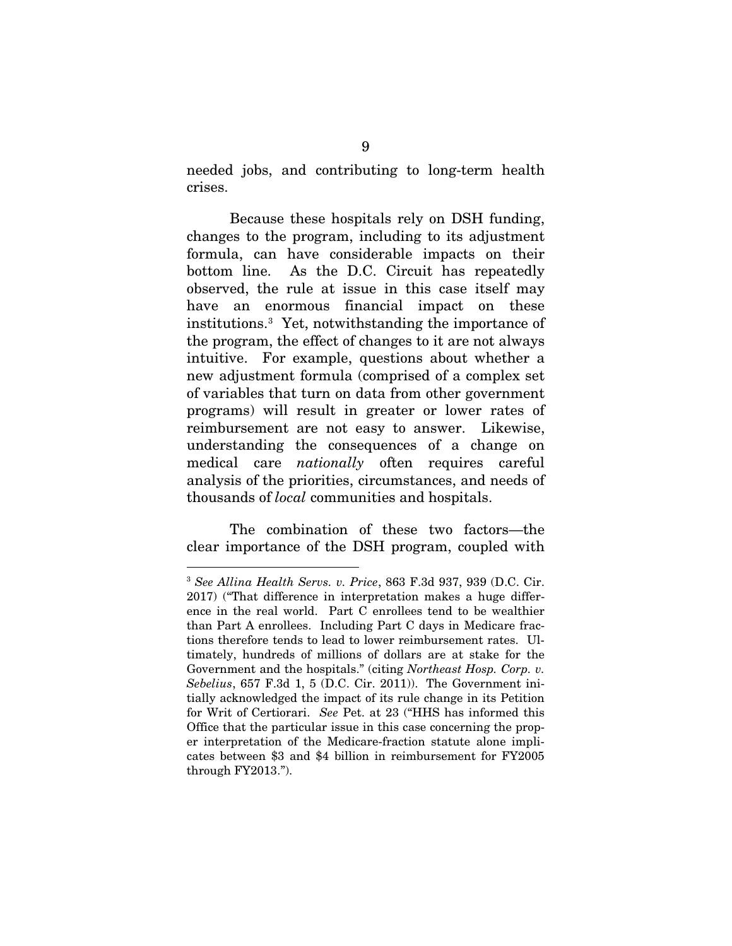needed jobs, and contributing to long-term health crises.

Because these hospitals rely on DSH funding, changes to the program, including to its adjustment formula, can have considerable impacts on their bottom line. As the D.C. Circuit has repeatedly observed, the rule at issue in this case itself may have an enormous financial impact on these institutions.[3](#page-18-0) Yet, notwithstanding the importance of the program, the effect of changes to it are not always intuitive. For example, questions about whether a new adjustment formula (comprised of a complex set of variables that turn on data from other government programs) will result in greater or lower rates of reimbursement are not easy to answer. Likewise, understanding the consequences of a change on medical care *nationally* often requires careful analysis of the priorities, circumstances, and needs of thousands of *local* communities and hospitals.

The combination of these two factors—the clear importance of the DSH program, coupled with

<span id="page-18-0"></span> <sup>3</sup> *See Allina Health Servs. v. Price*, 863 F.3d 937, 939 (D.C. Cir. 2017) ("That difference in interpretation makes a huge difference in the real world. Part C enrollees tend to be wealthier than Part A enrollees. Including Part C days in Medicare fractions therefore tends to lead to lower reimbursement rates. Ultimately, hundreds of millions of dollars are at stake for the Government and the hospitals." (citing *Northeast Hosp. Corp. v. Sebelius*, 657 F.3d 1, 5 (D.C. Cir. 2011)). The Government initially acknowledged the impact of its rule change in its Petition for Writ of Certiorari. *See* Pet. at 23 ("HHS has informed this Office that the particular issue in this case concerning the proper interpretation of the Medicare-fraction statute alone implicates between \$3 and \$4 billion in reimbursement for FY2005 through FY2013.").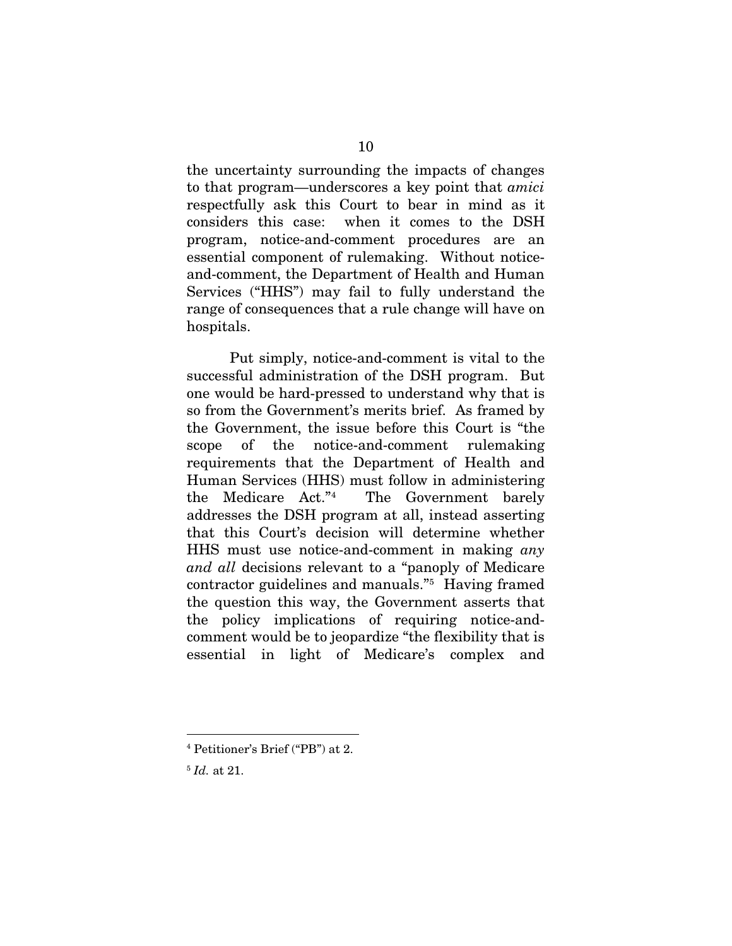the uncertainty surrounding the impacts of changes to that program—underscores a key point that *amici* respectfully ask this Court to bear in mind as it considers this case: when it comes to the DSH program, notice-and-comment procedures are an essential component of rulemaking. Without noticeand-comment, the Department of Health and Human Services ("HHS") may fail to fully understand the range of consequences that a rule change will have on hospitals.

Put simply, notice-and-comment is vital to the successful administration of the DSH program. But one would be hard-pressed to understand why that is so from the Government's merits brief. As framed by the Government, the issue before this Court is "the scope of the notice-and-comment rulemaking requirements that the Department of Health and Human Services (HHS) must follow in administering the Medicare Act."[4](#page-19-0) The Government barely addresses the DSH program at all, instead asserting that this Court's decision will determine whether HHS must use notice-and-comment in making *any and all* decisions relevant to a "panoply of Medicare contractor guidelines and manuals.["5](#page-19-1) Having framed the question this way, the Government asserts that the policy implications of requiring notice-andcomment would be to jeopardize "the flexibility that is essential in light of Medicare's complex and

<span id="page-19-0"></span> <sup>4</sup> Petitioner's Brief ("PB") at 2.

<span id="page-19-1"></span><sup>5</sup> *Id.* at 21.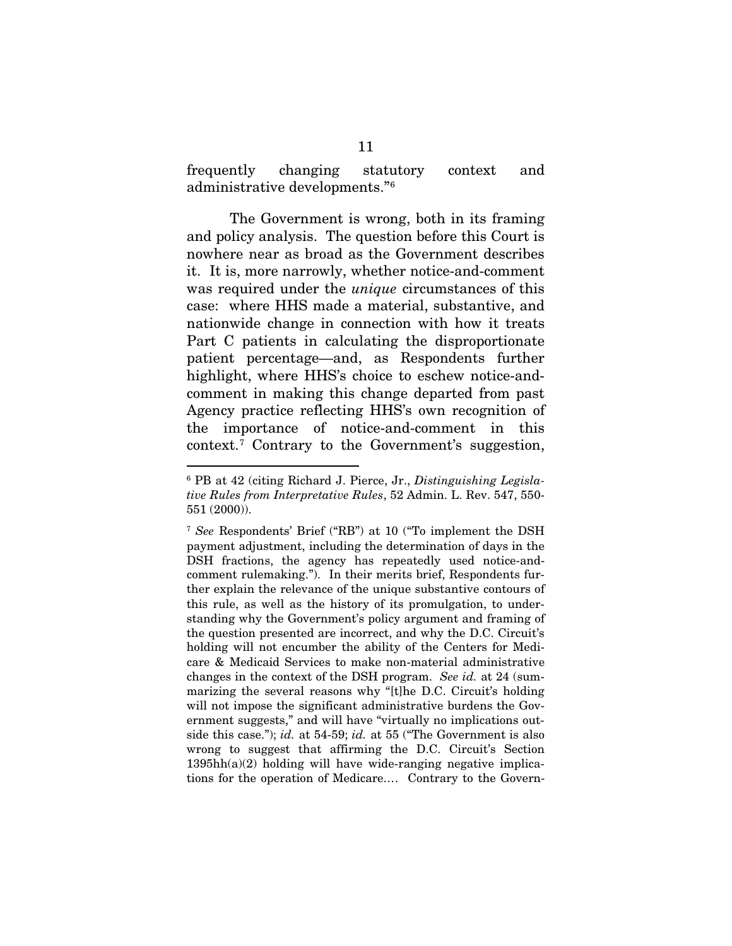frequently changing statutory context and administrative developments."[6](#page-20-0)

The Government is wrong, both in its framing and policy analysis. The question before this Court is nowhere near as broad as the Government describes it. It is, more narrowly, whether notice-and-comment was required under the *unique* circumstances of this case: where HHS made a material, substantive, and nationwide change in connection with how it treats Part C patients in calculating the disproportionate patient percentage—and, as Respondents further highlight, where HHS's choice to eschew notice-andcomment in making this change departed from past Agency practice reflecting HHS's own recognition of the importance of notice-and-comment in this context.[7](#page-20-1) Contrary to the Government's suggestion,

<span id="page-20-0"></span> <sup>6</sup> PB at 42 (citing Richard J. Pierce, Jr., *Distinguishing Legislative Rules from Interpretative Rules*, 52 Admin. L. Rev. 547, 550- 551 (2000)).

<span id="page-20-1"></span><sup>7</sup> *See* Respondents' Brief ("RB") at 10 ("To implement the DSH payment adjustment, including the determination of days in the DSH fractions, the agency has repeatedly used notice-andcomment rulemaking."). In their merits brief, Respondents further explain the relevance of the unique substantive contours of this rule, as well as the history of its promulgation, to understanding why the Government's policy argument and framing of the question presented are incorrect, and why the D.C. Circuit's holding will not encumber the ability of the Centers for Medicare & Medicaid Services to make non-material administrative changes in the context of the DSH program. *See id.* at 24 (summarizing the several reasons why "[t]he D.C. Circuit's holding will not impose the significant administrative burdens the Government suggests," and will have "virtually no implications outside this case."); *id.* at 54-59; *id.* at 55 ("The Government is also wrong to suggest that affirming the D.C. Circuit's Section  $1395hh(a)(2)$  holding will have wide-ranging negative implications for the operation of Medicare.… Contrary to the Govern-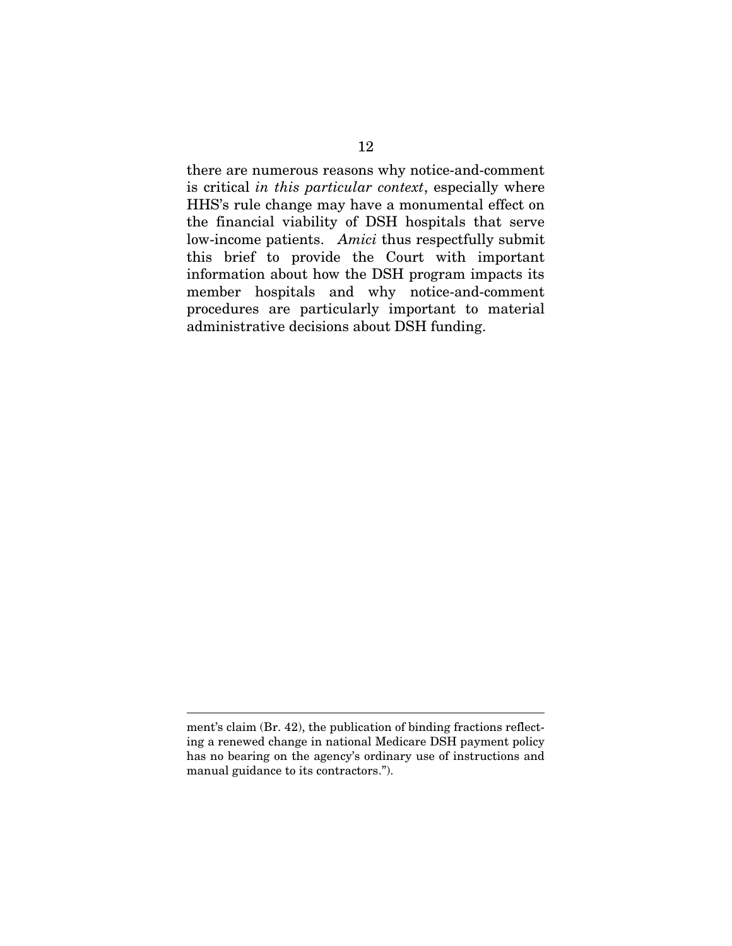there are numerous reasons why notice-and-comment is critical *in this particular context*, especially where HHS's rule change may have a monumental effect on the financial viability of DSH hospitals that serve low-income patients. *Amici* thus respectfully submit this brief to provide the Court with important information about how the DSH program impacts its member hospitals and why notice-and-comment procedures are particularly important to material administrative decisions about DSH funding.

 $\overline{a}$ 

ment's claim (Br. 42), the publication of binding fractions reflecting a renewed change in national Medicare DSH payment policy has no bearing on the agency's ordinary use of instructions and manual guidance to its contractors.").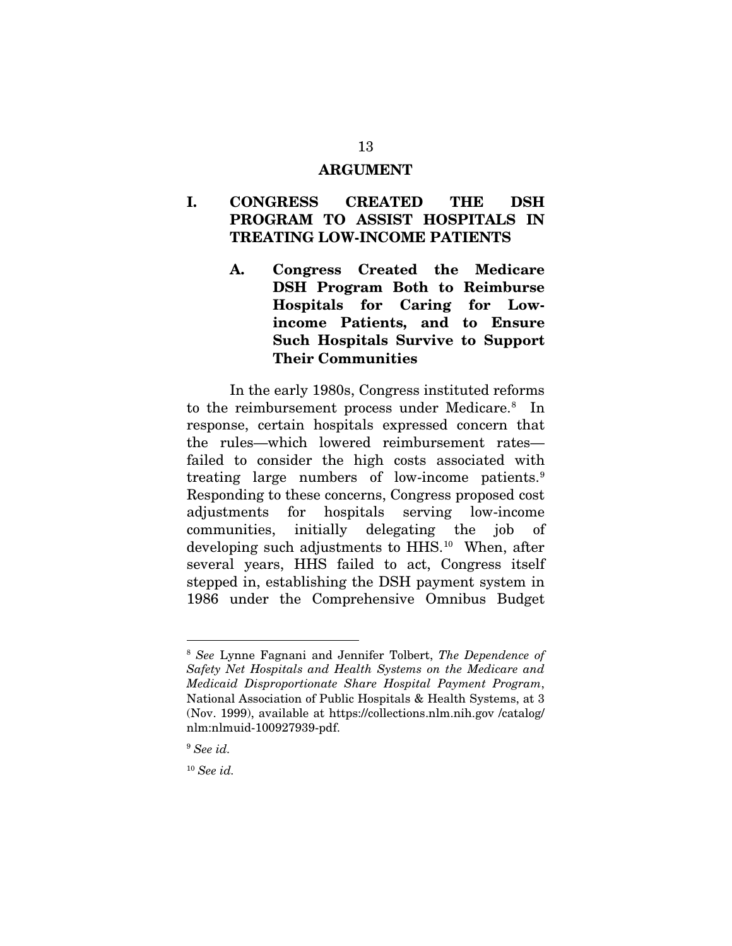#### ARGUMENT

### I. CONGRESS CREATED THE DSH PROGRAM TO ASSIST HOSPITALS IN TREATING LOW-INCOME PATIENTS

A. Congress Created the Medicare DSH Program Both to Reimburse Hospitals for Caring for Lowincome Patients, and to Ensure Such Hospitals Survive to Support Their Communities

In the early 1980s, Congress instituted reforms to the reimbursement process under Medicare.[8](#page-22-0) In response, certain hospitals expressed concern that the rules—which lowered reimbursement rates failed to consider the high costs associated with treating large numbers of low-income patients.[9](#page-22-1) Responding to these concerns, Congress proposed cost adjustments for hospitals serving low-income communities, initially delegating the job of developing such adjustments to HHS.<sup>10</sup> When, after several years, HHS failed to act, Congress itself stepped in, establishing the DSH payment system in 1986 under the Comprehensive Omnibus Budget

<span id="page-22-0"></span> <sup>8</sup> *See* Lynne Fagnani and Jennifer Tolbert, *The Dependence of Safety Net Hospitals and Health Systems on the Medicare and Medicaid Disproportionate Share Hospital Payment Program*, National Association of Public Hospitals & Health Systems, at 3 (Nov. 1999), available at https://collections.nlm.nih.gov /catalog/ nlm:nlmuid-100927939-pdf.

<span id="page-22-1"></span><sup>9</sup> *See id.*

<span id="page-22-2"></span><sup>10</sup> *See id.*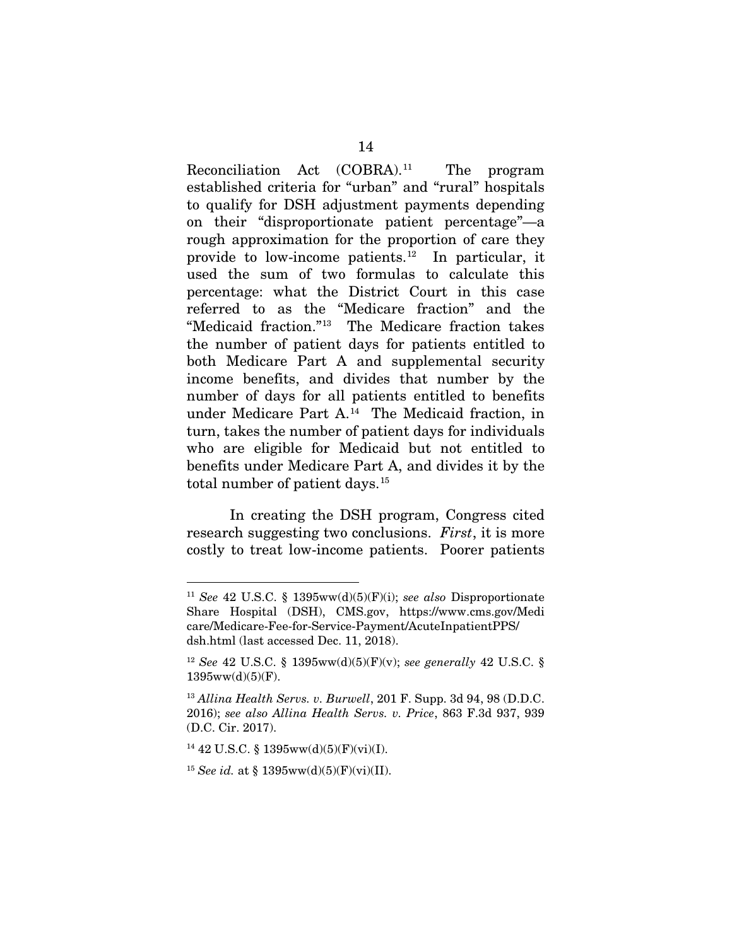Reconciliation Act (COBRA).[11](#page-23-0) The program established criteria for "urban" and "rural" hospitals to qualify for DSH adjustment payments depending on their "disproportionate patient percentage"—a rough approximation for the proportion of care they provide to low-income patients.[12](#page-23-1) In particular, it used the sum of two formulas to calculate this percentage: what the District Court in this case referred to as the "Medicare fraction" and the "Medicaid fraction."[13](#page-23-2) The Medicare fraction takes the number of patient days for patients entitled to both Medicare Part A and supplemental security income benefits, and divides that number by the number of days for all patients entitled to benefits under Medicare Part A.[14](#page-23-3) The Medicaid fraction, in turn, takes the number of patient days for individuals who are eligible for Medicaid but not entitled to benefits under Medicare Part A, and divides it by the total number of patient days.<sup>15</sup>

In creating the DSH program, Congress cited research suggesting two conclusions. *First*, it is more costly to treat low-income patients. Poorer patients

<span id="page-23-0"></span> <sup>11</sup> *See* 42 U.S.C. § 1395ww(d)(5)(F)(i); *see also* Disproportionate Share Hospital (DSH), CMS.gov, https://www.cms.gov/Medi care/Medicare-Fee-for-Service-Payment/AcuteInpatientPPS/ dsh.html (last accessed Dec. 11, 2018).

<span id="page-23-1"></span><sup>12</sup> *See* 42 U.S.C. § 1395ww(d)(5)(F)(v); *see generally* 42 U.S.C. §  $1395ww(d)(5)(F)$ .

<span id="page-23-2"></span><sup>13</sup> *Allina Health Servs. v. Burwell*, 201 F. Supp. 3d 94, 98 (D.D.C. 2016); *see also Allina Health Servs. v. Price*, 863 F.3d 937, 939 (D.C. Cir. 2017).

<span id="page-23-3"></span><sup>14</sup> 42 U.S.C. § 1395ww(d)(5)(F)(vi)(I).

<span id="page-23-4"></span><sup>15</sup> *See id.* at § 1395ww(d)(5)(F)(vi)(II).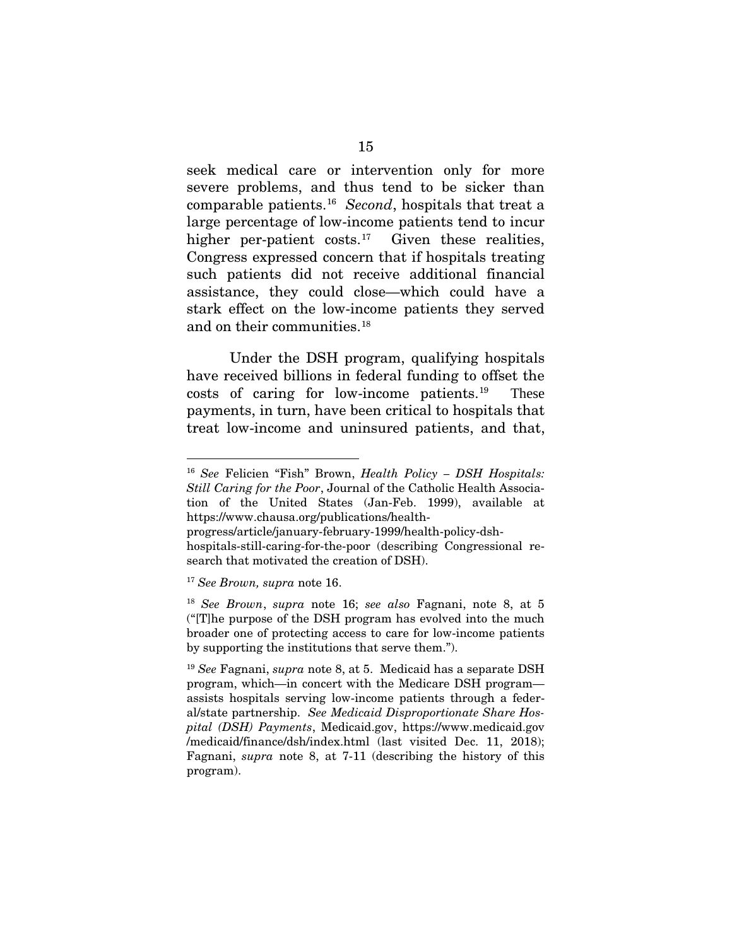seek medical care or intervention only for more severe problems, and thus tend to be sicker than comparable patients.[16](#page-24-0) *Second*, hospitals that treat a large percentage of low-income patients tend to incur higher per-patient costs. $17$  Given these realities, Congress expressed concern that if hospitals treating such patients did not receive additional financial assistance, they could close—which could have a stark effect on the low-income patients they served and on their communities.<sup>[18](#page-24-2)</sup>

Under the DSH program, qualifying hospitals have received billions in federal funding to offset the costs of caring for low-income patients.<sup>19</sup> These payments, in turn, have been critical to hospitals that treat low-income and uninsured patients, and that,

<span id="page-24-0"></span> <sup>16</sup> *See* Felicien "Fish" Brown, *Health Policy – DSH Hospitals: Still Caring for the Poor*, Journal of the Catholic Health Association of the United States (Jan-Feb. 1999), available at https://www.chausa.org/publications/health-

progress/article/january-february-1999/health-policy-dshhospitals-still-caring-for-the-poor (describing Congressional research that motivated the creation of DSH).

<span id="page-24-1"></span><sup>17</sup> *See Brown, supra* note 16.

<span id="page-24-2"></span><sup>18</sup> *See Brown*, *supra* note 16; *see also* Fagnani, note 8, at 5 ("[T]he purpose of the DSH program has evolved into the much broader one of protecting access to care for low-income patients by supporting the institutions that serve them.").

<span id="page-24-3"></span><sup>19</sup> *See* Fagnani, *supra* note 8, at 5. Medicaid has a separate DSH program, which—in concert with the Medicare DSH program assists hospitals serving low-income patients through a federal/state partnership. *See Medicaid Disproportionate Share Hospital (DSH) Payments*, Medicaid.gov, https://www.medicaid.gov /medicaid/finance/dsh/index.html (last visited Dec. 11, 2018); Fagnani, *supra* note 8, at 7-11 (describing the history of this program).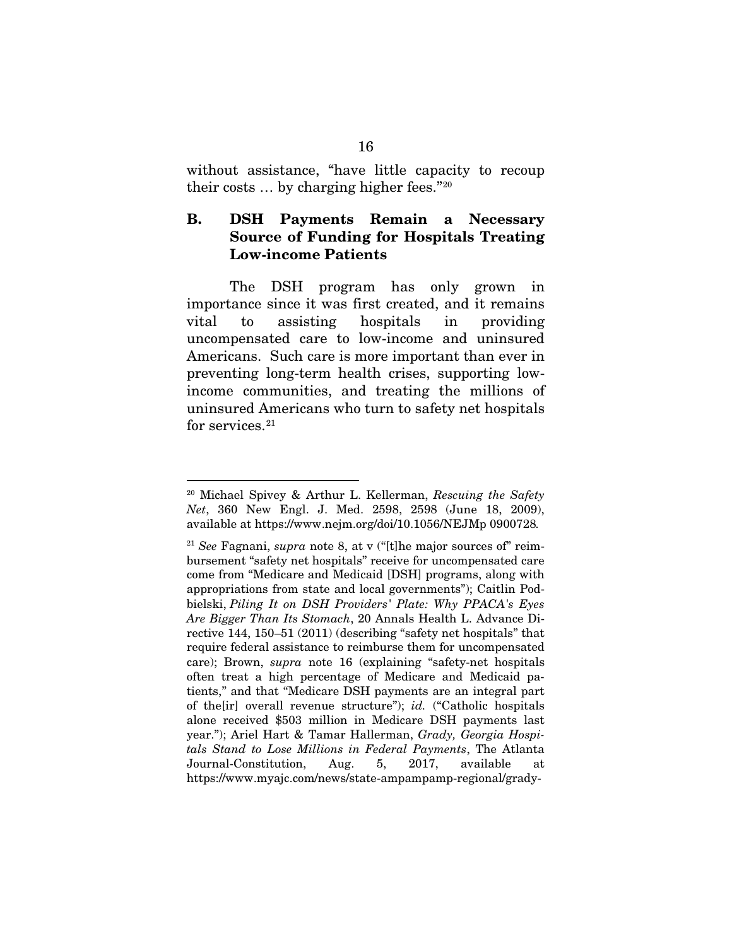without assistance, "have little capacity to recoup their costs … by charging higher fees."[20](#page-25-0)

### B. DSH Payments Remain a Necessary Source of Funding for Hospitals Treating Low-income Patients

The DSH program has only grown in importance since it was first created, and it remains vital to assisting hospitals in providing uncompensated care to low-income and uninsured Americans. Such care is more important than ever in preventing long-term health crises, supporting lowincome communities, and treating the millions of uninsured Americans who turn to safety net hospitals for services. $21$ 

<span id="page-25-0"></span> <sup>20</sup> Michael Spivey & Arthur L. Kellerman, *Rescuing the Safety Net*, 360 New Engl. J. Med. 2598, 2598 (June 18, 2009), available at https://www.nejm.org/doi/10.1056/NEJMp 0900728*.*

<span id="page-25-1"></span><sup>21</sup> *See* Fagnani, *supra* note 8, at v ("[t]he major sources of" reimbursement "safety net hospitals" receive for uncompensated care come from "Medicare and Medicaid [DSH] programs, along with appropriations from state and local governments"); Caitlin Podbielski, *Piling It on DSH Providers' Plate: Why PPACA's Eyes Are Bigger Than Its Stomach*, 20 Annals Health L. Advance Directive 144, 150–51 (2011) (describing "safety net hospitals" that require federal assistance to reimburse them for uncompensated care); Brown, *supra* note 16 (explaining "safety-net hospitals often treat a high percentage of Medicare and Medicaid patients," and that "Medicare DSH payments are an integral part of the[ir] overall revenue structure"); *id.* ("Catholic hospitals alone received \$503 million in Medicare DSH payments last year."); Ariel Hart & Tamar Hallerman, *Grady, Georgia Hospitals Stand to Lose Millions in Federal Payments*, The Atlanta Journal-Constitution, Aug. 5, 2017, available at https://www.myajc.com/news/state-ampampamp-regional/grady-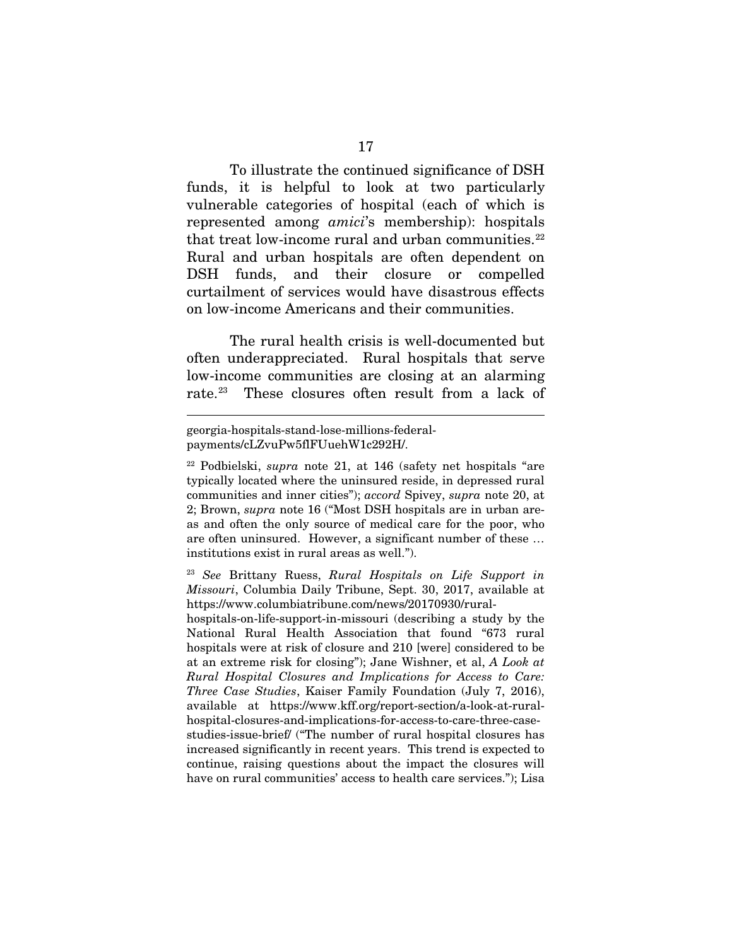To illustrate the continued significance of DSH funds, it is helpful to look at two particularly vulnerable categories of hospital (each of which is represented among *amici*'s membership): hospitals that treat low-income rural and urban communities.<sup>22</sup> Rural and urban hospitals are often dependent on DSH funds, and their closure or compelled curtailment of services would have disastrous effects on low-income Americans and their communities.

The rural health crisis is well-documented but often underappreciated. Rural hospitals that serve low-income communities are closing at an alarming rate.[23](#page-26-1) These closures often result from a lack of

 $\overline{a}$ 

<span id="page-26-1"></span><sup>23</sup> *See* Brittany Ruess, *Rural Hospitals on Life Support in Missouri*, Columbia Daily Tribune, Sept. 30, 2017, available at https://www.columbiatribune.com/news/20170930/rural-

hospitals-on-life-support-in-missouri (describing a study by the National Rural Health Association that found "673 rural hospitals were at risk of closure and 210 [were] considered to be at an extreme risk for closing"); Jane Wishner, et al, *A Look at Rural Hospital Closures and Implications for Access to Care: Three Case Studies*, Kaiser Family Foundation (July 7, 2016), available at https://www.kff.org/report-section/a-look-at-ruralhospital-closures-and-implications-for-access-to-care-three-casestudies-issue-brief/ ("The number of rural hospital closures has increased significantly in recent years. This trend is expected to continue, raising questions about the impact the closures will have on rural communities' access to health care services."); Lisa

georgia-hospitals-stand-lose-millions-federalpayments/cLZvuPw5flFUuehW1c292H/.

<span id="page-26-0"></span><sup>22</sup> Podbielski, *supra* note 21, at 146 (safety net hospitals "are typically located where the uninsured reside, in depressed rural communities and inner cities"); *accord* Spivey, *supra* note 20, at 2; Brown, *supra* note 16 ("Most DSH hospitals are in urban areas and often the only source of medical care for the poor, who are often uninsured. However, a significant number of these … institutions exist in rural areas as well.").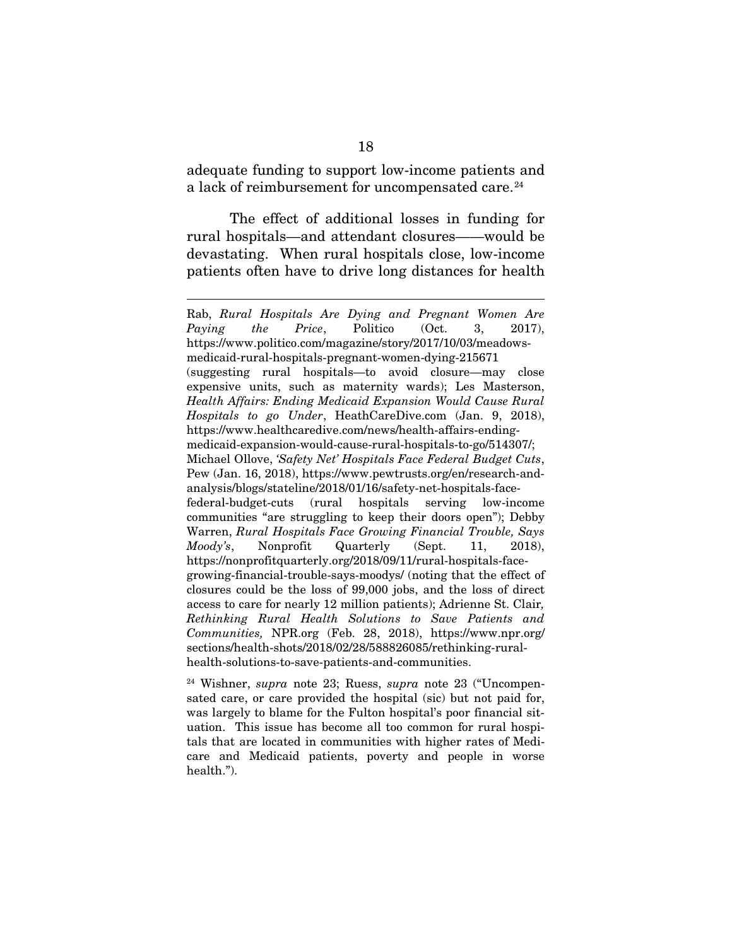adequate funding to support low-income patients and a lack of reimbursement for uncompensated care.<sup>[24](#page-27-0)</sup>

The effect of additional losses in funding for rural hospitals—and attendant closures——would be devastating. When rural hospitals close, low-income patients often have to drive long distances for health

 $\overline{a}$ 

Rab, *Rural Hospitals Are Dying and Pregnant Women Are Paying the Price*, Politico (Oct. 3, 2017), https://www.politico.com/magazine/story/2017/10/03/meadowsmedicaid-rural-hospitals-pregnant-women-dying-215671 (suggesting rural hospitals—to avoid closure—may close expensive units, such as maternity wards); Les Masterson, *Health Affairs: Ending Medicaid Expansion Would Cause Rural Hospitals to go Under*, HeathCareDive.com (Jan. 9, 2018), https://www.healthcaredive.com/news/health-affairs-endingmedicaid-expansion-would-cause-rural-hospitals-to-go/514307/; Michael Ollove, *'Safety Net' Hospitals Face Federal Budget Cuts*, Pew (Jan. 16, 2018), https://www.pewtrusts.org/en/research-andanalysis/blogs/stateline/2018/01/16/safety-net-hospitals-facefederal-budget-cuts (rural hospitals serving low-income communities "are struggling to keep their doors open"); Debby Warren, *Rural Hospitals Face Growing Financial Trouble, Says Moody's*, Nonprofit Quarterly (Sept. 11, 2018), https://nonprofitquarterly.org/2018/09/11/rural-hospitals-facegrowing-financial-trouble-says-moodys/ (noting that the effect of closures could be the loss of 99,000 jobs, and the loss of direct access to care for nearly 12 million patients); Adrienne St. Clair*, Rethinking Rural Health Solutions to Save Patients and Communities,* NPR.org (Feb. 28, 2018), https://www.npr.org/ sections/health-shots/2018/02/28/588826085/rethinking-ruralhealth-solutions-to-save-patients-and-communities.

<span id="page-27-0"></span><sup>24</sup> Wishner, *supra* note 23; Ruess, *supra* note 23 ("Uncompensated care, or care provided the hospital (sic) but not paid for, was largely to blame for the Fulton hospital's poor financial situation. This issue has become all too common for rural hospitals that are located in communities with higher rates of Medicare and Medicaid patients, poverty and people in worse health.").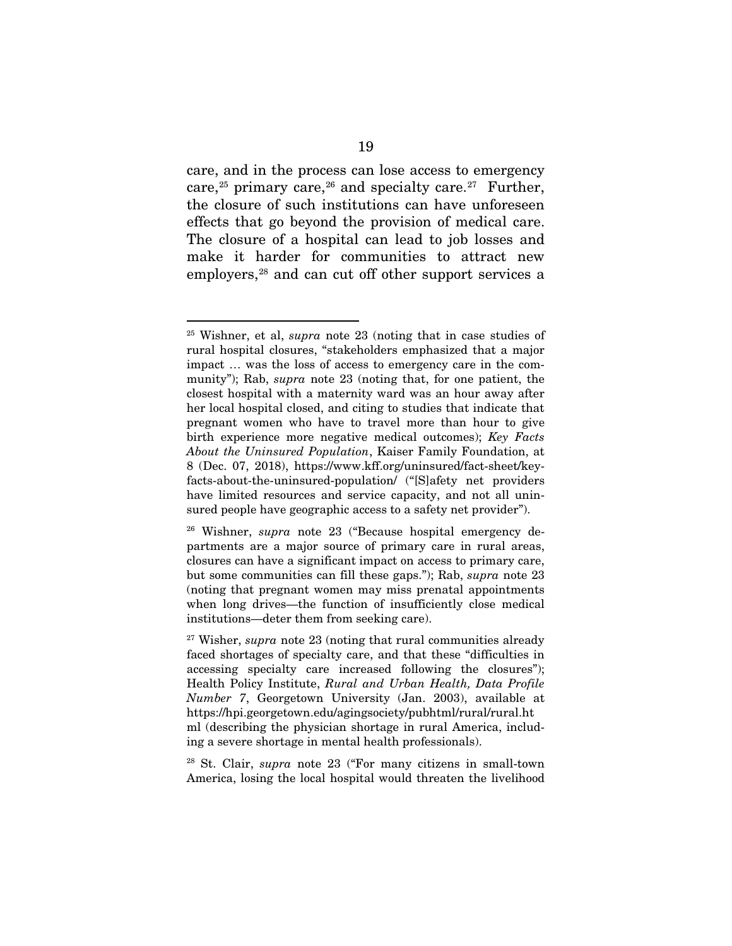care, and in the process can lose access to emergency care,<sup>[25](#page-28-0)</sup> primary care,<sup>[26](#page-28-1)</sup> and specialty care.<sup>27</sup> Further, the closure of such institutions can have unforeseen effects that go beyond the provision of medical care. The closure of a hospital can lead to job losses and make it harder for communities to attract new employers,<sup>[28](#page-28-3)</sup> and can cut off other support services a

<span id="page-28-3"></span><sup>28</sup> St. Clair, *supra* note 23 ("For many citizens in small-town America, losing the local hospital would threaten the livelihood

<span id="page-28-0"></span> <sup>25</sup> Wishner, et al, *supra* note 23 (noting that in case studies of rural hospital closures, "stakeholders emphasized that a major impact … was the loss of access to emergency care in the community"); Rab, *supra* note 23 (noting that, for one patient, the closest hospital with a maternity ward was an hour away after her local hospital closed, and citing to studies that indicate that pregnant women who have to travel more than hour to give birth experience more negative medical outcomes); *Key Facts About the Uninsured Population*, Kaiser Family Foundation, at 8 (Dec. 07, 2018), https://www.kff.org/uninsured/fact-sheet/keyfacts-about-the-uninsured-population/ ("[S]afety net providers have limited resources and service capacity, and not all uninsured people have geographic access to a safety net provider").

<span id="page-28-1"></span><sup>26</sup> Wishner, *supra* note 23 ("Because hospital emergency departments are a major source of primary care in rural areas, closures can have a significant impact on access to primary care, but some communities can fill these gaps."); Rab, *supra* note 23 (noting that pregnant women may miss prenatal appointments when long drives—the function of insufficiently close medical institutions—deter them from seeking care).

<span id="page-28-2"></span><sup>27</sup> Wisher, *supra* note 23 (noting that rural communities already faced shortages of specialty care, and that these "difficulties in accessing specialty care increased following the closures"); Health Policy Institute, *Rural and Urban Health, Data Profile Number 7*, Georgetown University (Jan. 2003), available at https://hpi.georgetown.edu/agingsociety/pubhtml/rural/rural.ht ml (describing the physician shortage in rural America, including a severe shortage in mental health professionals).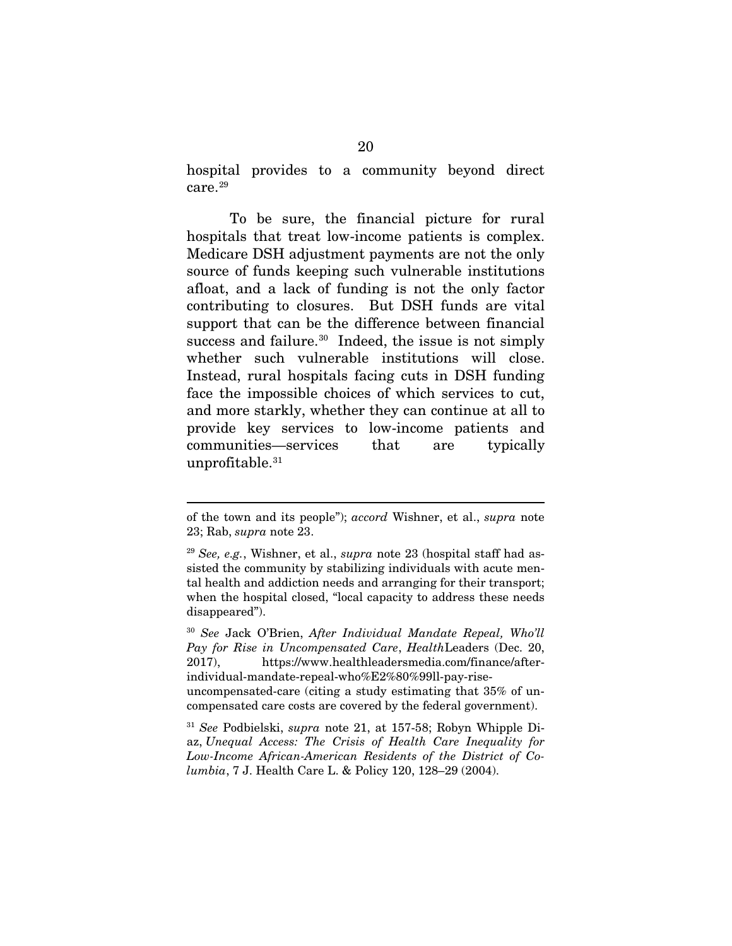hospital provides to a community beyond direct care.<sup>[29](#page-29-0)</sup>

To be sure, the financial picture for rural hospitals that treat low-income patients is complex. Medicare DSH adjustment payments are not the only source of funds keeping such vulnerable institutions afloat, and a lack of funding is not the only factor contributing to closures. But DSH funds are vital support that can be the difference between financial success and failure.<sup>30</sup> Indeed, the issue is not simply whether such vulnerable institutions will close. Instead, rural hospitals facing cuts in DSH funding face the impossible choices of which services to cut, and more starkly, whether they can continue at all to provide key services to low-income patients and communities—services that are typically unprofitable.<sup>31</sup>

 $\overline{a}$ 

<span id="page-29-1"></span><sup>30</sup> *See* Jack O'Brien, *After Individual Mandate Repeal, Who'll Pay for Rise in Uncompensated Care*, *Health*Leaders (Dec. 20, 2017), https://www.healthleadersmedia.com/finance/afterindividual-mandate-repeal-who%E2%80%99ll-pay-riseuncompensated-care (citing a study estimating that 35% of un-

of the town and its people"); *accord* Wishner, et al., *supra* note 23; Rab, *supra* note 23.

<span id="page-29-0"></span><sup>29</sup> *See, e.g.*, Wishner, et al., *supra* note 23 (hospital staff had assisted the community by stabilizing individuals with acute mental health and addiction needs and arranging for their transport; when the hospital closed, "local capacity to address these needs disappeared").

compensated care costs are covered by the federal government).

<span id="page-29-2"></span><sup>31</sup> *See* Podbielski, *supra* note 21, at 157-58; Robyn Whipple Diaz, *Unequal Access: The Crisis of Health Care Inequality for Low-Income African-American Residents of the District of Columbia*, 7 J. Health Care L. & Policy 120, 128–29 (2004).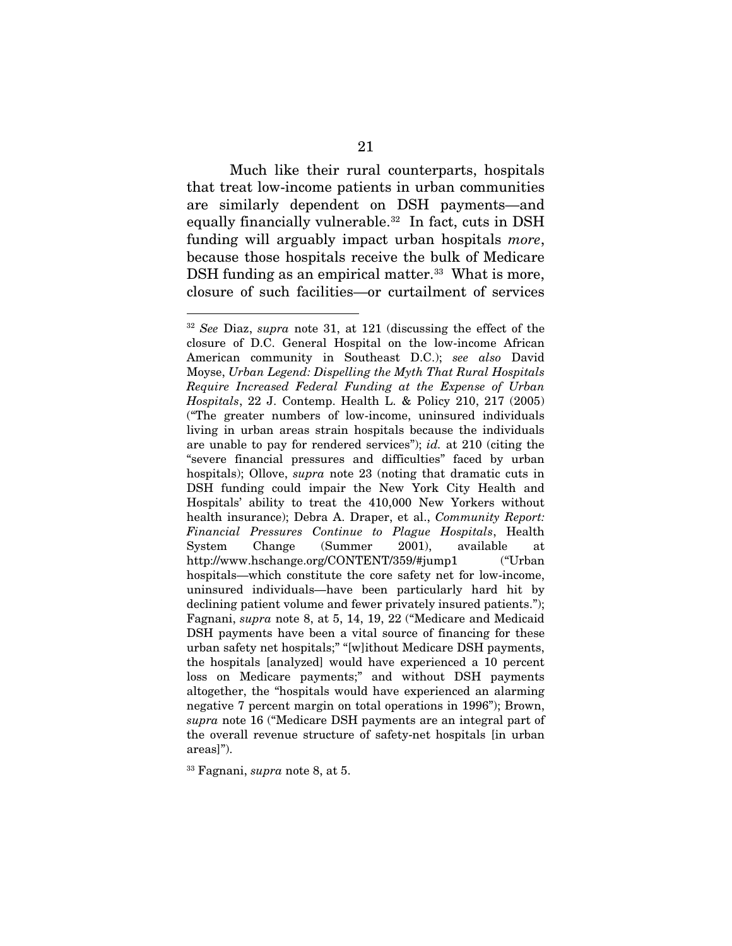Much like their rural counterparts, hospitals that treat low-income patients in urban communities are similarly dependent on DSH payments—and equally financially vulnerable.<sup>32</sup> In fact, cuts in DSH funding will arguably impact urban hospitals *more*, because those hospitals receive the bulk of Medicare DSH funding as an empirical matter.<sup>[33](#page-30-1)</sup> What is more, closure of such facilities—or curtailment of services

<span id="page-30-1"></span><sup>33</sup> Fagnani, *supra* note 8, at 5.

<span id="page-30-0"></span> <sup>32</sup> *See* Diaz, *supra* note 31, at 121 (discussing the effect of the closure of D.C. General Hospital on the low-income African American community in Southeast D.C.); *see also* David Moyse, *Urban Legend: Dispelling the Myth That Rural Hospitals Require Increased Federal Funding at the Expense of Urban Hospitals*, 22 J. Contemp. Health L. & Policy 210, 217 (2005) ("The greater numbers of low-income, uninsured individuals living in urban areas strain hospitals because the individuals are unable to pay for rendered services"); *id.* at 210 (citing the "severe financial pressures and difficulties" faced by urban hospitals); Ollove, *supra* note 23 (noting that dramatic cuts in DSH funding could impair the New York City Health and Hospitals' ability to treat the 410,000 New Yorkers without health insurance); Debra A. Draper, et al., *Community Report: Financial Pressures Continue to Plague Hospitals*, Health System Change (Summer 2001), available at http://www.hschange.org/CONTENT/359/#jump1 ("Urban hospitals—which constitute the core safety net for low-income, uninsured individuals—have been particularly hard hit by declining patient volume and fewer privately insured patients."); Fagnani, *supra* note 8, at 5, 14, 19, 22 ("Medicare and Medicaid DSH payments have been a vital source of financing for these urban safety net hospitals;" "[w]ithout Medicare DSH payments, the hospitals [analyzed] would have experienced a 10 percent loss on Medicare payments;" and without DSH payments altogether, the "hospitals would have experienced an alarming negative 7 percent margin on total operations in 1996"); Brown, *supra* note 16 ("Medicare DSH payments are an integral part of the overall revenue structure of safety-net hospitals [in urban areas]").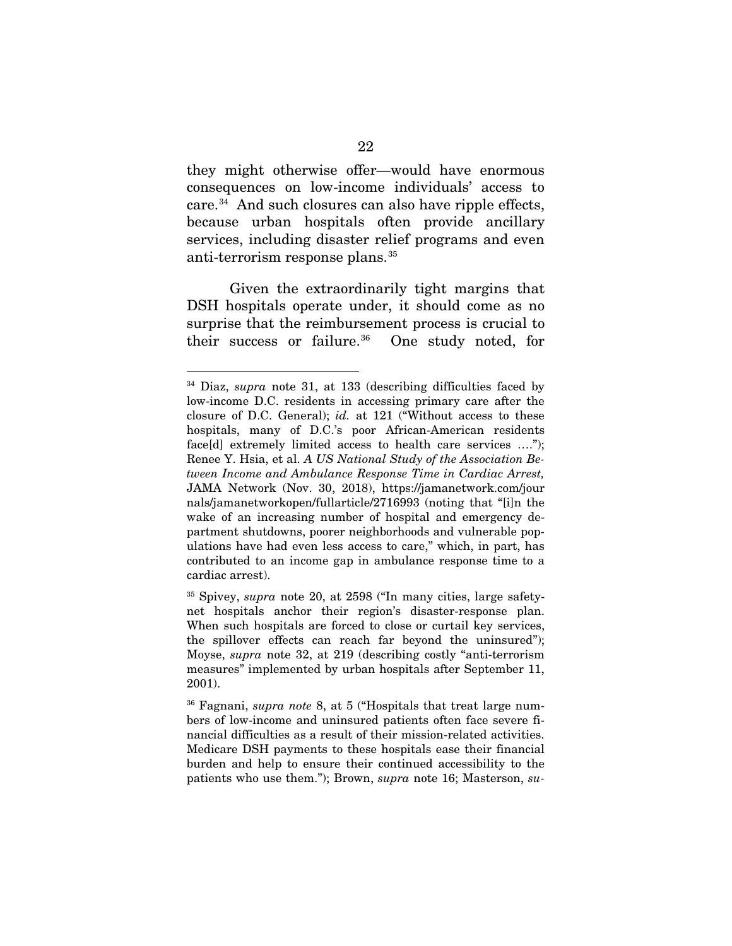they might otherwise offer—would have enormous consequences on low-income individuals' access to care.[34](#page-31-0) And such closures can also have ripple effects, because urban hospitals often provide ancillary services, including disaster relief programs and even anti-terrorism response plans.[35](#page-31-1)

Given the extraordinarily tight margins that DSH hospitals operate under, it should come as no surprise that the reimbursement process is crucial to their success or failure.<sup>36</sup> One study noted, for

<span id="page-31-0"></span> <sup>34</sup> Diaz, *supra* note 31, at 133 (describing difficulties faced by low-income D.C. residents in accessing primary care after the closure of D.C. General); *id.* at 121 ("Without access to these hospitals, many of D.C.'s poor African-American residents face[d] extremely limited access to health care services ...."); Renee Y. Hsia, et al. *A US National Study of the Association Between Income and Ambulance Response Time in Cardiac Arrest,*  JAMA Network (Nov. 30, 2018), https://jamanetwork.com/jour nals/jamanetworkopen/fullarticle/2716993 (noting that "[i]n the wake of an increasing number of hospital and emergency department shutdowns, poorer neighborhoods and vulnerable populations have had even less access to care," which, in part, has contributed to an income gap in ambulance response time to a cardiac arrest).

<span id="page-31-1"></span><sup>35</sup> Spivey, *supra* note 20, at 2598 ("In many cities, large safetynet hospitals anchor their region's disaster-response plan. When such hospitals are forced to close or curtail key services, the spillover effects can reach far beyond the uninsured"); Moyse, *supra* note 32, at 219 (describing costly "anti-terrorism measures" implemented by urban hospitals after September 11, 2001).

<span id="page-31-2"></span><sup>36</sup> Fagnani, *supra note* 8, at 5 ("Hospitals that treat large numbers of low-income and uninsured patients often face severe financial difficulties as a result of their mission-related activities. Medicare DSH payments to these hospitals ease their financial burden and help to ensure their continued accessibility to the patients who use them."); Brown, *supra* note 16; Masterson, *su-*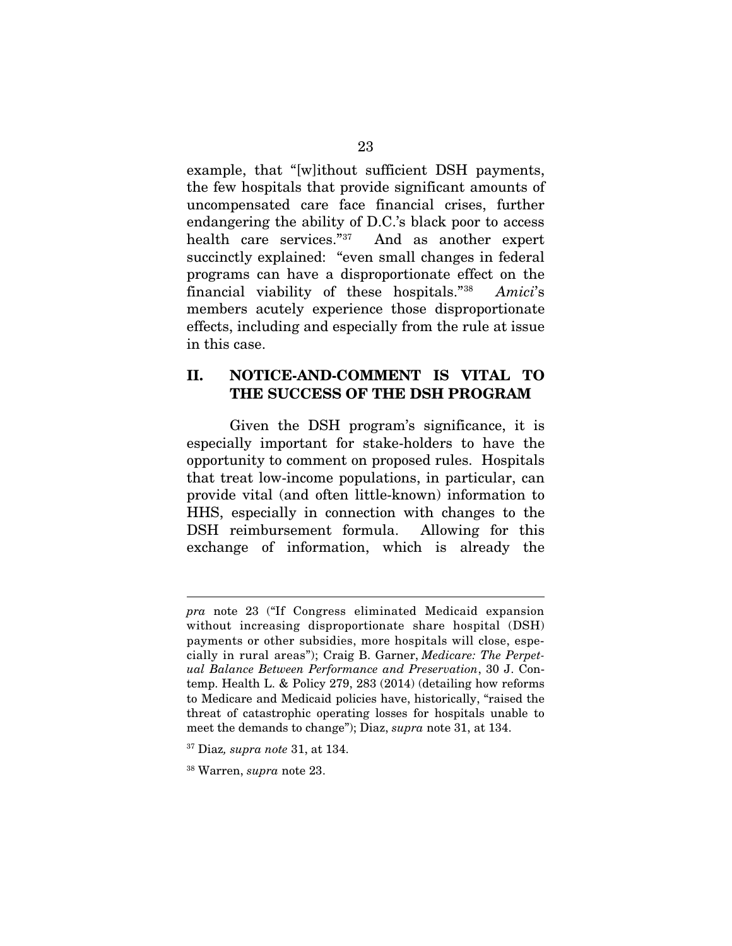example, that "[w]ithout sufficient DSH payments, the few hospitals that provide significant amounts of uncompensated care face financial crises, further endangering the ability of D.C.'s black poor to access health care services."[37](#page-32-0) And as another expert succinctly explained: "even small changes in federal programs can have a disproportionate effect on the financial viability of these hospitals."[38](#page-32-1) *Amici*'s members acutely experience those disproportionate effects, including and especially from the rule at issue in this case.

### II. NOTICE-AND-COMMENT IS VITAL TO THE SUCCESS OF THE DSH PROGRAM

Given the DSH program's significance, it is especially important for stake-holders to have the opportunity to comment on proposed rules. Hospitals that treat low-income populations, in particular, can provide vital (and often little-known) information to HHS, especially in connection with changes to the DSH reimbursement formula. Allowing for this exchange of information, which is already the

 $\overline{a}$ 

*pra* note 23 ("If Congress eliminated Medicaid expansion without increasing disproportionate share hospital (DSH) payments or other subsidies, more hospitals will close, especially in rural areas"); Craig B. Garner, *Medicare: The Perpetual Balance Between Performance and Preservation*, 30 J. Contemp. Health L. & Policy 279, 283 (2014) (detailing how reforms to Medicare and Medicaid policies have, historically, "raised the threat of catastrophic operating losses for hospitals unable to meet the demands to change"); Diaz, *supra* note 31, at 134.

<span id="page-32-0"></span><sup>37</sup> Diaz*, supra note* 31, at 134.

<span id="page-32-1"></span><sup>38</sup> Warren, *supra* note 23.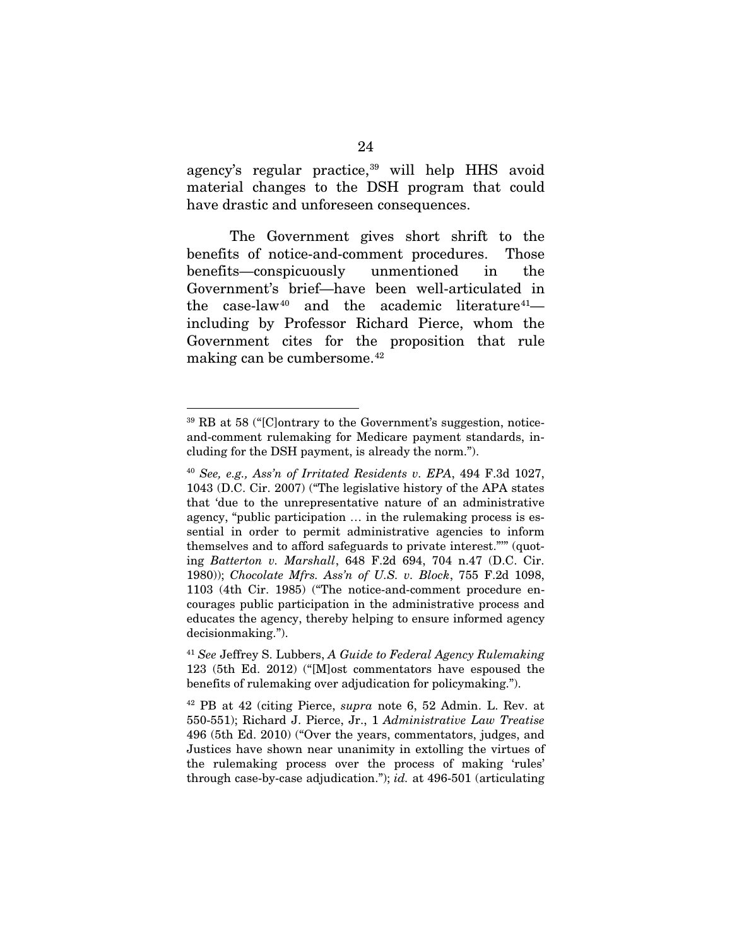agency's regular practice,<sup>[39](#page-33-0)</sup> will help HHS avoid material changes to the DSH program that could have drastic and unforeseen consequences.

The Government gives short shrift to the benefits of notice-and-comment procedures. Those benefits—conspicuously unmentioned in the Government's brief—have been well-articulated in the case-law<sup>[40](#page-33-1)</sup> and the academic literature<sup>41</sup> including by Professor Richard Pierce, whom the Government cites for the proposition that rule making can be cumbersome.<sup>[42](#page-33-3)</sup>

<span id="page-33-0"></span> <sup>39</sup> RB at 58 ("[C]ontrary to the Government's suggestion, noticeand-comment rulemaking for Medicare payment standards, including for the DSH payment, is already the norm.").

<span id="page-33-1"></span><sup>40</sup> *See, e.g., Ass'n of Irritated Residents v. EPA*, 494 F.3d 1027, 1043 (D.C. Cir. 2007) ("The legislative history of the APA states that 'due to the unrepresentative nature of an administrative agency, "public participation … in the rulemaking process is essential in order to permit administrative agencies to inform themselves and to afford safeguards to private interest."'" (quoting *Batterton v. Marshall*, 648 F.2d 694, 704 n.47 (D.C. Cir. 1980)); *Chocolate Mfrs. Ass'n of U.S. v. Block*, 755 F.2d 1098, 1103 (4th Cir. 1985) ("The notice-and-comment procedure encourages public participation in the administrative process and educates the agency, thereby helping to ensure informed agency decisionmaking.").

<span id="page-33-2"></span><sup>41</sup> *See* Jeffrey S. Lubbers, *A Guide to Federal Agency Rulemaking* 123 (5th Ed. 2012) ("[M]ost commentators have espoused the benefits of rulemaking over adjudication for policymaking.").

<span id="page-33-3"></span><sup>42</sup> PB at 42 (citing Pierce, *supra* note 6, 52 Admin. L. Rev. at 550-551); Richard J. Pierce, Jr., 1 *Administrative Law Treatise* 496 (5th Ed. 2010) ("Over the years, commentators, judges, and Justices have shown near unanimity in extolling the virtues of the rulemaking process over the process of making 'rules' through case-by-case adjudication."); *id.* at 496-501 (articulating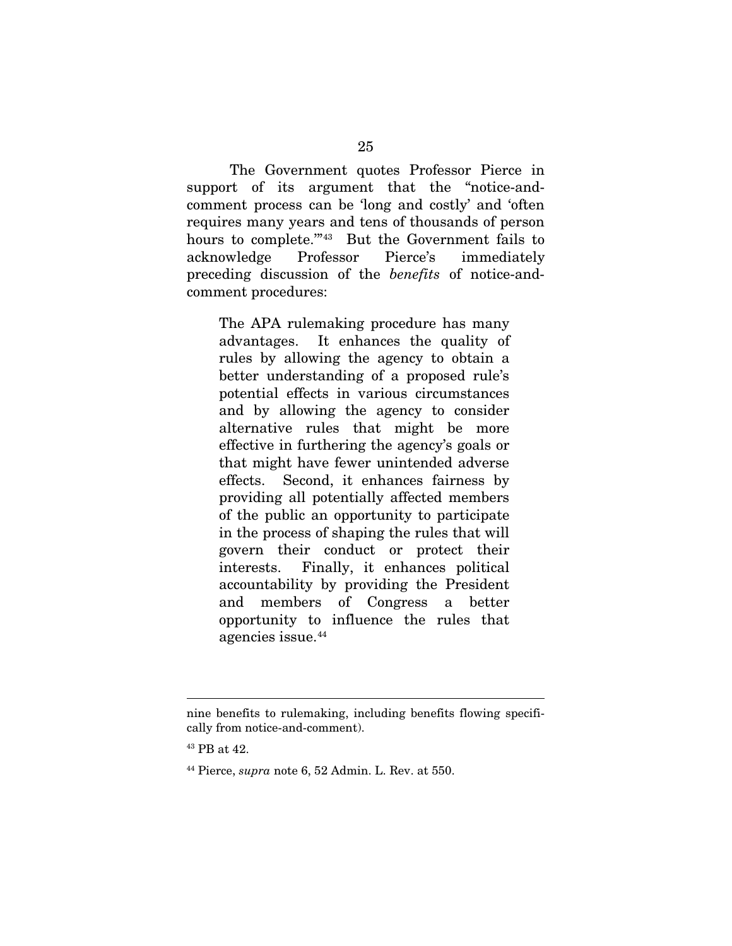The Government quotes Professor Pierce in support of its argument that the "notice-andcomment process can be 'long and costly' and 'often requires many years and tens of thousands of person hours to complete."<sup>[43](#page-34-0)</sup> But the Government fails to acknowledge Professor Pierce's immediately preceding discussion of the *benefits* of notice-andcomment procedures:

The APA rulemaking procedure has many advantages. It enhances the quality of rules by allowing the agency to obtain a better understanding of a proposed rule's potential effects in various circumstances and by allowing the agency to consider alternative rules that might be more effective in furthering the agency's goals or that might have fewer unintended adverse effects. Second, it enhances fairness by providing all potentially affected members of the public an opportunity to participate in the process of shaping the rules that will govern their conduct or protect their interests. Finally, it enhances political accountability by providing the President and members of Congress a better opportunity to influence the rules that agencies issue.[44](#page-34-1)

 $\overline{a}$ 

nine benefits to rulemaking, including benefits flowing specifically from notice-and-comment).

<span id="page-34-0"></span><sup>43</sup> PB at 42.

<span id="page-34-1"></span><sup>44</sup> Pierce, *supra* note 6, 52 Admin. L. Rev. at 550.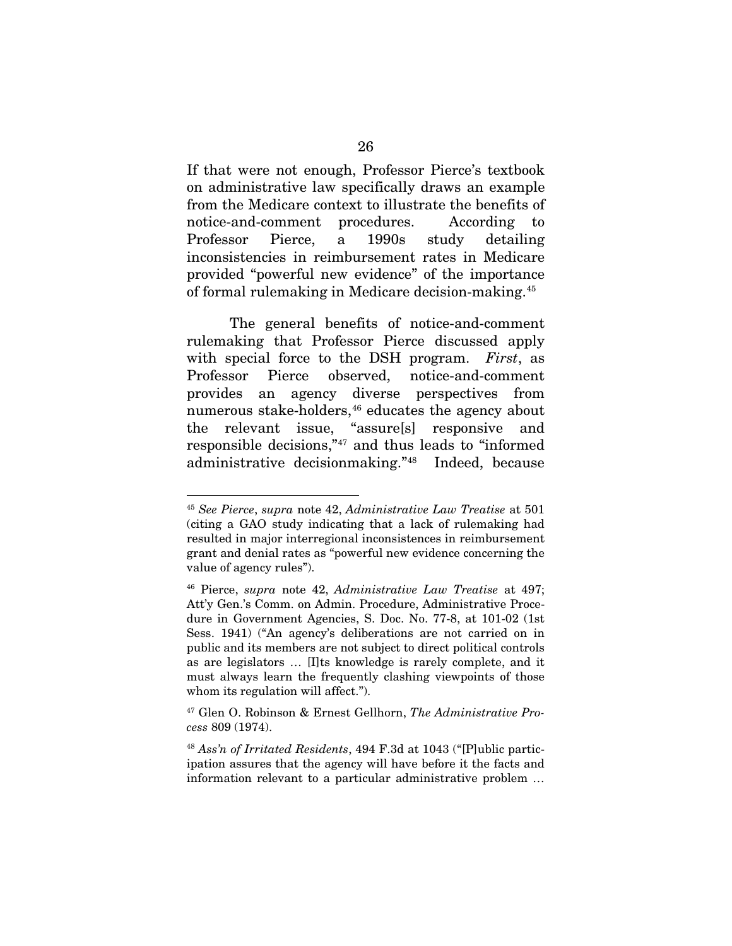If that were not enough, Professor Pierce's textbook on administrative law specifically draws an example from the Medicare context to illustrate the benefits of notice-and-comment procedures. According to Professor Pierce, a 1990s study detailing inconsistencies in reimbursement rates in Medicare provided "powerful new evidence" of the importance of formal rulemaking in Medicare decision-making.[45](#page-35-0)

The general benefits of notice-and-comment rulemaking that Professor Pierce discussed apply with special force to the DSH program. *First*, as Professor Pierce observed, notice-and-comment provides an agency diverse perspectives from numerous stake-holders,<sup>[46](#page-35-1)</sup> educates the agency about the relevant issue, "assure[s] responsive and responsible decisions,"[47](#page-35-2) and thus leads to "informed administrative decisionmaking."[48](#page-35-3) Indeed, because

<span id="page-35-0"></span> <sup>45</sup> *See Pierce*, *supra* note 42, *Administrative Law Treatise* at 501 (citing a GAO study indicating that a lack of rulemaking had resulted in major interregional inconsistences in reimbursement grant and denial rates as "powerful new evidence concerning the value of agency rules").

<span id="page-35-1"></span><sup>46</sup> Pierce, *supra* note 42, *Administrative Law Treatise* at 497; Att'y Gen.'s Comm. on Admin. Procedure, Administrative Procedure in Government Agencies, S. Doc. No. 77-8, at 101-02 (1st Sess. 1941) ("An agency's deliberations are not carried on in public and its members are not subject to direct political controls as are legislators … [I]ts knowledge is rarely complete, and it must always learn the frequently clashing viewpoints of those whom its regulation will affect.").

<span id="page-35-2"></span><sup>47</sup> Glen O. Robinson & Ernest Gellhorn, *The Administrative Process* 809 (1974).

<span id="page-35-3"></span><sup>48</sup> *Ass'n of Irritated Residents*, 494 F.3d at 1043 ("[P]ublic participation assures that the agency will have before it the facts and information relevant to a particular administrative problem …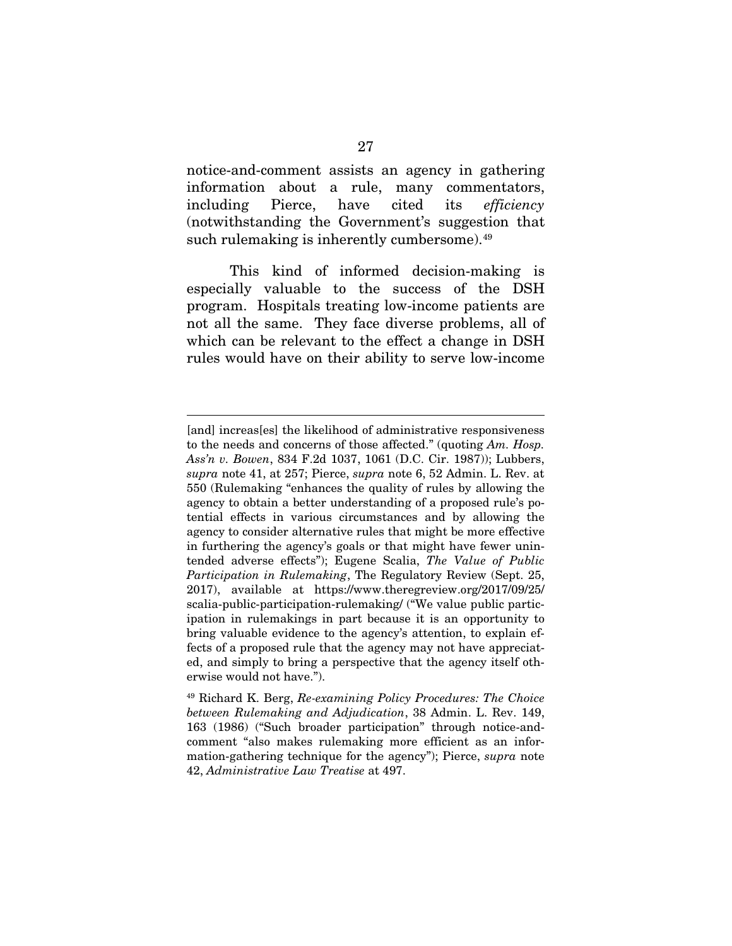notice-and-comment assists an agency in gathering information about a rule, many commentators, including Pierce, have cited its *efficiency*  (notwithstanding the Government's suggestion that such rulemaking is inherently cumbersome).<sup>49</sup>

This kind of informed decision-making is especially valuable to the success of the DSH program. Hospitals treating low-income patients are not all the same. They face diverse problems, all of which can be relevant to the effect a change in DSH rules would have on their ability to serve low-income

 $\overline{a}$ 

<sup>[</sup>and] increas[es] the likelihood of administrative responsiveness to the needs and concerns of those affected." (quoting *Am. Hosp. Ass'n v. Bowen*, 834 F.2d 1037, 1061 (D.C. Cir. 1987)); Lubbers, *supra* note 41, at 257; Pierce, *supra* note 6, 52 Admin. L. Rev. at 550 (Rulemaking "enhances the quality of rules by allowing the agency to obtain a better understanding of a proposed rule's potential effects in various circumstances and by allowing the agency to consider alternative rules that might be more effective in furthering the agency's goals or that might have fewer unintended adverse effects"); Eugene Scalia, *The Value of Public Participation in Rulemaking*, The Regulatory Review (Sept. 25, 2017), available at https://www.theregreview.org/2017/09/25/ scalia-public-participation-rulemaking/ ("We value public participation in rulemakings in part because it is an opportunity to bring valuable evidence to the agency's attention, to explain effects of a proposed rule that the agency may not have appreciated, and simply to bring a perspective that the agency itself otherwise would not have.").

<span id="page-36-0"></span><sup>49</sup> Richard K. Berg, *Re-examining Policy Procedures: The Choice between Rulemaking and Adjudication*, 38 Admin. L. Rev. 149, 163 (1986) ("Such broader participation" through notice-andcomment "also makes rulemaking more efficient as an information-gathering technique for the agency"); Pierce, *supra* note 42, *Administrative Law Treatise* at 497.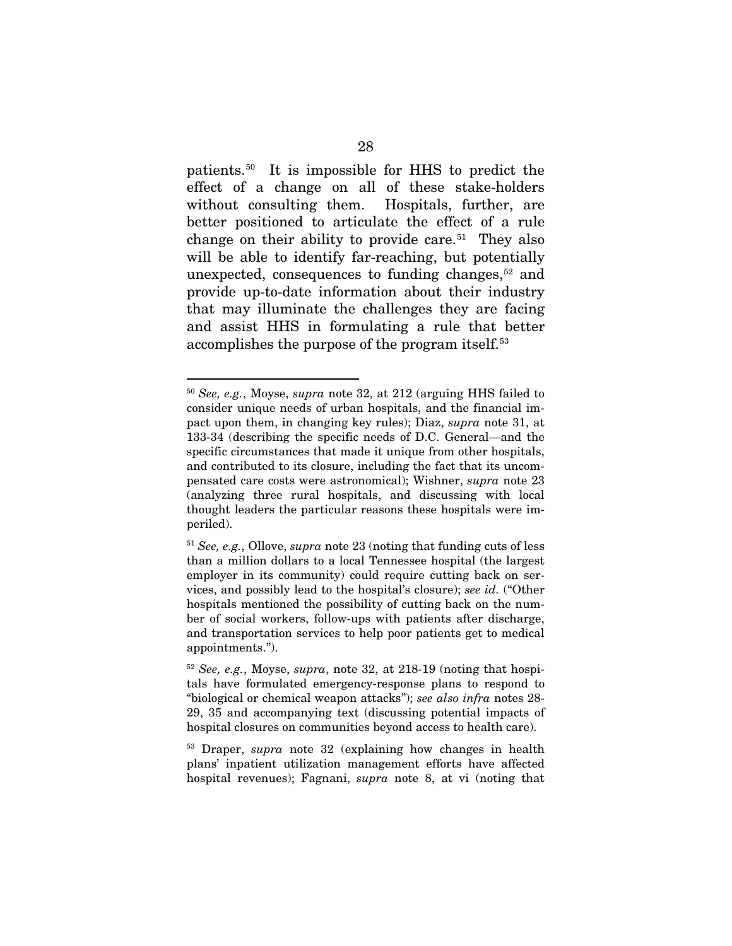patients.[50](#page-37-0) It is impossible for HHS to predict the effect of a change on all of these stake-holders without consulting them. Hospitals, further, are better positioned to articulate the effect of a rule change on their ability to provide care.<sup>[51](#page-37-1)</sup> They also will be able to identify far-reaching, but potentially unexpected, consequences to funding changes,<sup>[52](#page-37-2)</sup> and provide up-to-date information about their industry that may illuminate the challenges they are facing and assist HHS in formulating a rule that better accomplishes the purpose of the program itself.<sup>53</sup>

<span id="page-37-0"></span> <sup>50</sup> *See, e.g.*, Moyse, *supra* note 32, at 212 (arguing HHS failed to consider unique needs of urban hospitals, and the financial impact upon them, in changing key rules); Diaz, *supra* note 31, at 133-34 (describing the specific needs of D.C. General—and the specific circumstances that made it unique from other hospitals, and contributed to its closure, including the fact that its uncompensated care costs were astronomical); Wishner, *supra* note 23 (analyzing three rural hospitals, and discussing with local thought leaders the particular reasons these hospitals were imperiled).

<span id="page-37-1"></span><sup>51</sup> *See, e.g.*, Ollove, *supra* note 23 (noting that funding cuts of less than a million dollars to a local Tennessee hospital (the largest employer in its community) could require cutting back on services, and possibly lead to the hospital's closure); *see id.* ("Other hospitals mentioned the possibility of cutting back on the number of social workers, follow-ups with patients after discharge, and transportation services to help poor patients get to medical appointments.").

<span id="page-37-2"></span><sup>52</sup> *See, e.g.*, Moyse, *supra*, note 32, at 218-19 (noting that hospitals have formulated emergency-response plans to respond to "biological or chemical weapon attacks"); *see also infra* notes 28- 29, 35 and accompanying text (discussing potential impacts of hospital closures on communities beyond access to health care).

<span id="page-37-3"></span><sup>53</sup> Draper, *supra* note 32 (explaining how changes in health plans' inpatient utilization management efforts have affected hospital revenues); Fagnani, *supra* note 8, at vi (noting that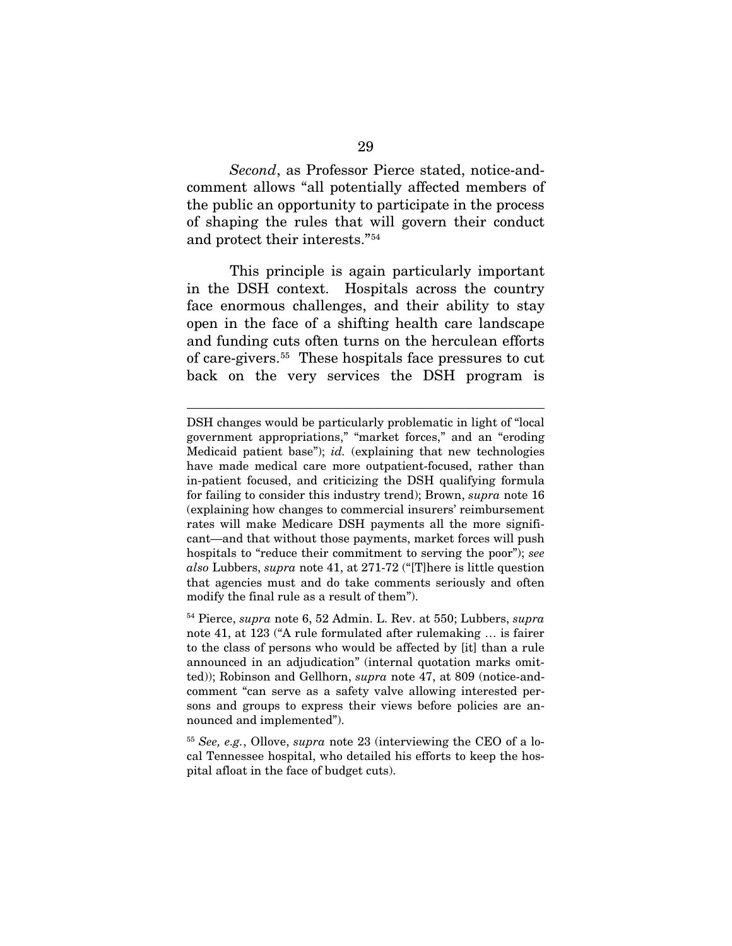*Second*, as Professor Pierce stated, notice-andcomment allows "all potentially affected members of the public an opportunity to participate in the process of shaping the rules that will govern their conduct and protect their interests."[54](#page-38-0)

This principle is again particularly important in the DSH context. Hospitals across the country face enormous challenges, and their ability to stay open in the face of a shifting health care landscape and funding cuts often turns on the herculean efforts of care-givers.[55](#page-38-1) These hospitals face pressures to cut back on the very services the DSH program is

 $\overline{a}$ 

<span id="page-38-0"></span><sup>54</sup> Pierce, *supra* note 6, 52 Admin. L. Rev. at 550; Lubbers, *supra*  note 41, at 123 ("A rule formulated after rulemaking … is fairer to the class of persons who would be affected by [it] than a rule announced in an adjudication" (internal quotation marks omitted)); Robinson and Gellhorn, *supra* note 47, at 809 (notice-andcomment "can serve as a safety valve allowing interested persons and groups to express their views before policies are announced and implemented").

<span id="page-38-1"></span><sup>55</sup> *See, e.g.*, Ollove, *supra* note 23 (interviewing the CEO of a local Tennessee hospital, who detailed his efforts to keep the hospital afloat in the face of budget cuts).

DSH changes would be particularly problematic in light of "local government appropriations," "market forces," and an "eroding Medicaid patient base"); *id.* (explaining that new technologies have made medical care more outpatient-focused, rather than in-patient focused, and criticizing the DSH qualifying formula for failing to consider this industry trend); Brown, *supra* note 16 (explaining how changes to commercial insurers' reimbursement rates will make Medicare DSH payments all the more significant—and that without those payments, market forces will push hospitals to "reduce their commitment to serving the poor"); *see also* Lubbers, *supra* note 41, at 271-72 ("[T]here is little question that agencies must and do take comments seriously and often modify the final rule as a result of them").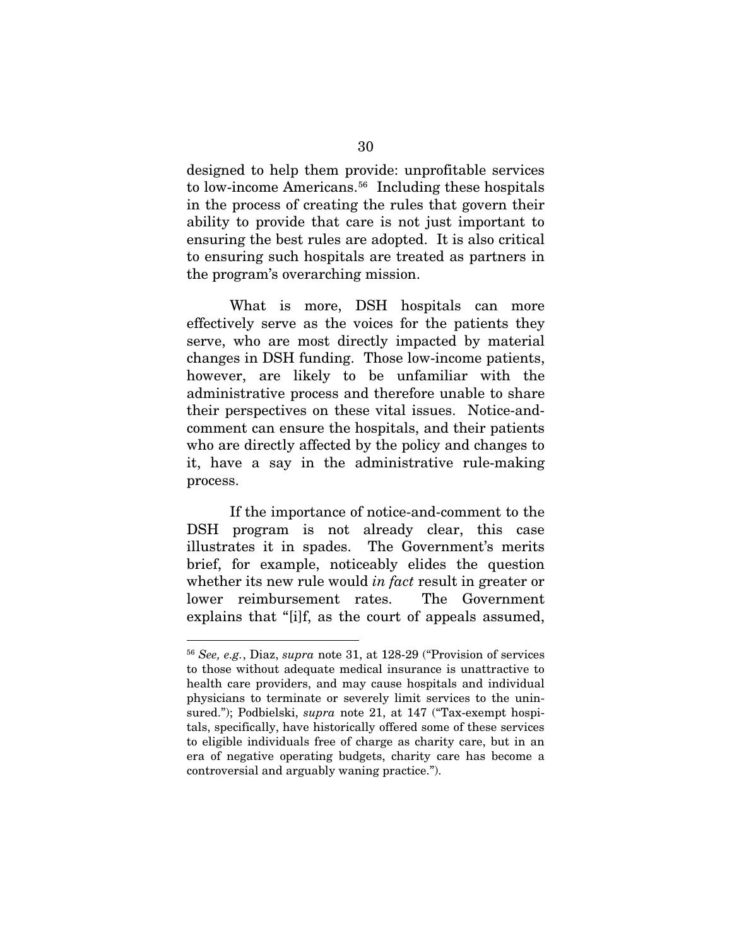designed to help them provide: unprofitable services to low-income Americans.<sup>56</sup> Including these hospitals in the process of creating the rules that govern their ability to provide that care is not just important to ensuring the best rules are adopted. It is also critical to ensuring such hospitals are treated as partners in the program's overarching mission.

What is more, DSH hospitals can more effectively serve as the voices for the patients they serve, who are most directly impacted by material changes in DSH funding. Those low-income patients, however, are likely to be unfamiliar with the administrative process and therefore unable to share their perspectives on these vital issues. Notice-andcomment can ensure the hospitals, and their patients who are directly affected by the policy and changes to it, have a say in the administrative rule-making process.

If the importance of notice-and-comment to the DSH program is not already clear, this case illustrates it in spades. The Government's merits brief, for example, noticeably elides the question whether its new rule would *in fact* result in greater or lower reimbursement rates. The Government explains that "[i]f, as the court of appeals assumed,

<span id="page-39-0"></span> <sup>56</sup> *See, e.g.*, Diaz, *supra* note 31, at 128-29 ("Provision of services to those without adequate medical insurance is unattractive to health care providers, and may cause hospitals and individual physicians to terminate or severely limit services to the uninsured."); Podbielski, *supra* note 21, at 147 ("Tax-exempt hospitals, specifically, have historically offered some of these services to eligible individuals free of charge as charity care, but in an era of negative operating budgets, charity care has become a controversial and arguably waning practice.").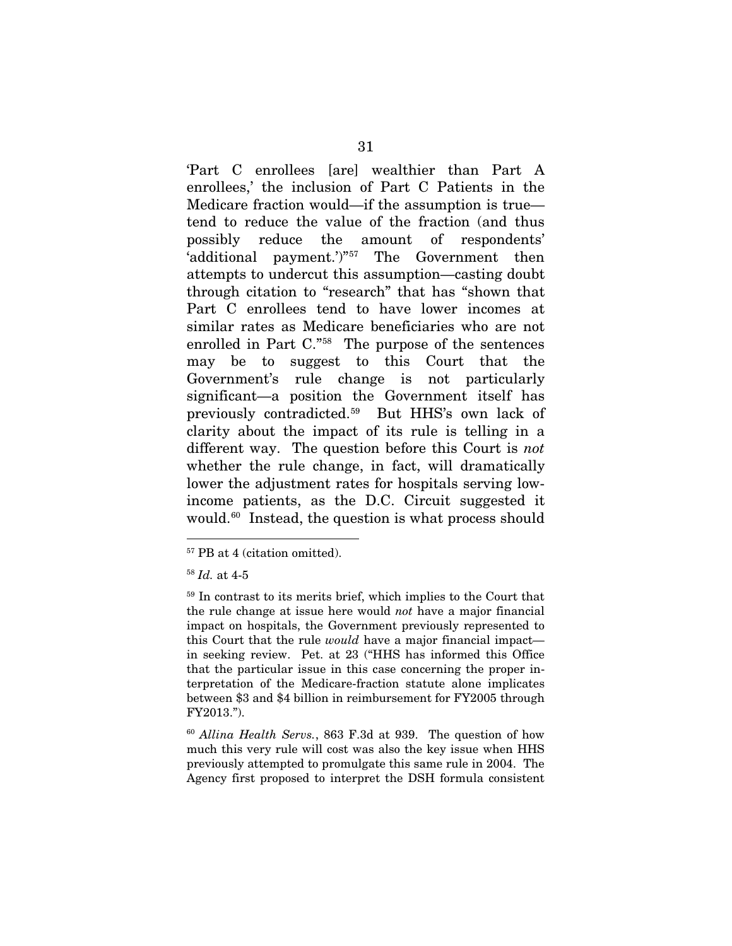'Part C enrollees [are] wealthier than Part A enrollees,' the inclusion of Part C Patients in the Medicare fraction would—if the assumption is true tend to reduce the value of the fraction (and thus possibly reduce the amount of respondents' 'additional payment.')"[57](#page-40-0) The Government then attempts to undercut this assumption—casting doubt through citation to "research" that has "shown that Part C enrollees tend to have lower incomes at similar rates as Medicare beneficiaries who are not enrolled in Part C."[58](#page-40-1) The purpose of the sentences may be to suggest to this Court that the Government's rule change is not particularly significant—a position the Government itself has previously contradicted.[59](#page-40-2) But HHS's own lack of clarity about the impact of its rule is telling in a different way. The question before this Court is *not* whether the rule change, in fact, will dramatically lower the adjustment rates for hospitals serving lowincome patients, as the D.C. Circuit suggested it would.[60](#page-40-3) Instead, the question is what process should

<span id="page-40-0"></span> <sup>57</sup> PB at 4 (citation omitted).

<span id="page-40-1"></span><sup>58</sup> *Id.* at 4-5

<span id="page-40-2"></span><sup>59</sup> In contrast to its merits brief, which implies to the Court that the rule change at issue here would *not* have a major financial impact on hospitals, the Government previously represented to this Court that the rule *would* have a major financial impact in seeking review. Pet. at 23 ("HHS has informed this Office that the particular issue in this case concerning the proper interpretation of the Medicare-fraction statute alone implicates between \$3 and \$4 billion in reimbursement for FY2005 through FY2013.").

<span id="page-40-3"></span><sup>60</sup> *Allina Health Servs.*, 863 F.3d at 939. The question of how much this very rule will cost was also the key issue when HHS previously attempted to promulgate this same rule in 2004. The Agency first proposed to interpret the DSH formula consistent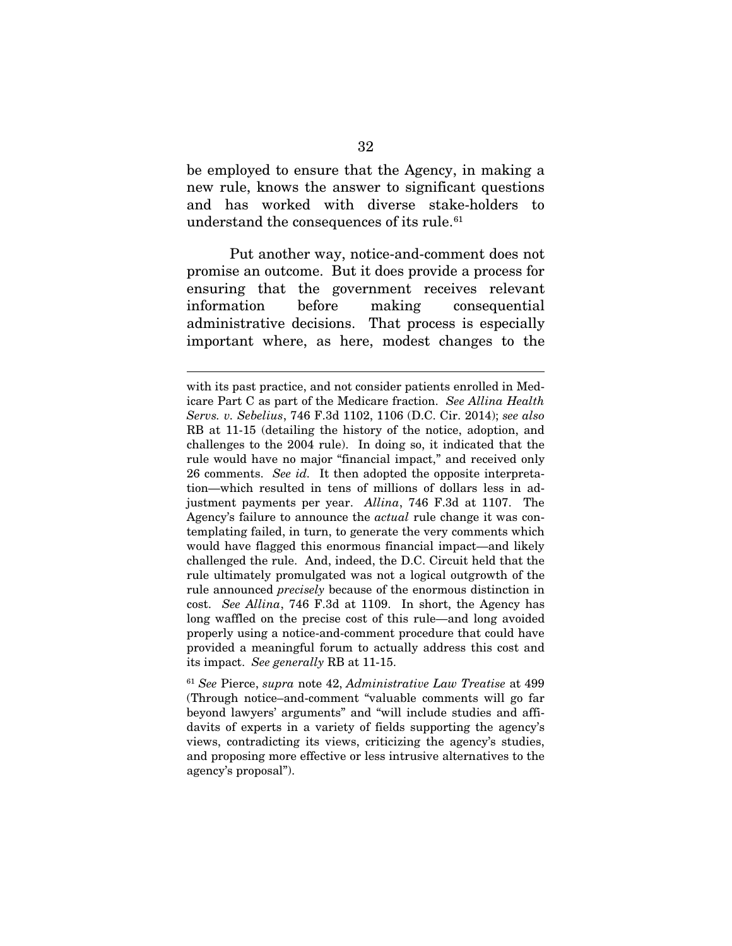be employed to ensure that the Agency, in making a new rule, knows the answer to significant questions and has worked with diverse stake-holders to understand the consequences of its rule.<sup>[61](#page-41-0)</sup>

Put another way, notice-and-comment does not promise an outcome. But it does provide a process for ensuring that the government receives relevant information before making consequential administrative decisions. That process is especially important where, as here, modest changes to the

 $\overline{a}$ 

with its past practice, and not consider patients enrolled in Medicare Part C as part of the Medicare fraction. *See Allina Health Servs. v. Sebelius*, 746 F.3d 1102, 1106 (D.C. Cir. 2014); *see also* RB at 11-15 (detailing the history of the notice, adoption, and challenges to the 2004 rule). In doing so, it indicated that the rule would have no major "financial impact," and received only 26 comments. *See id.* It then adopted the opposite interpretation—which resulted in tens of millions of dollars less in adjustment payments per year. *Allina*, 746 F.3d at 1107. The Agency's failure to announce the *actual* rule change it was contemplating failed, in turn, to generate the very comments which would have flagged this enormous financial impact—and likely challenged the rule. And, indeed, the D.C. Circuit held that the rule ultimately promulgated was not a logical outgrowth of the rule announced *precisely* because of the enormous distinction in cost. *See Allina*, 746 F.3d at 1109. In short, the Agency has long waffled on the precise cost of this rule—and long avoided properly using a notice-and-comment procedure that could have provided a meaningful forum to actually address this cost and its impact. *See generally* RB at 11-15.

<span id="page-41-0"></span><sup>61</sup> *See* Pierce, *supra* note 42, *Administrative Law Treatise* at 499 (Through notice–and-comment "valuable comments will go far beyond lawyers' arguments" and "will include studies and affidavits of experts in a variety of fields supporting the agency's views, contradicting its views, criticizing the agency's studies, and proposing more effective or less intrusive alternatives to the agency's proposal").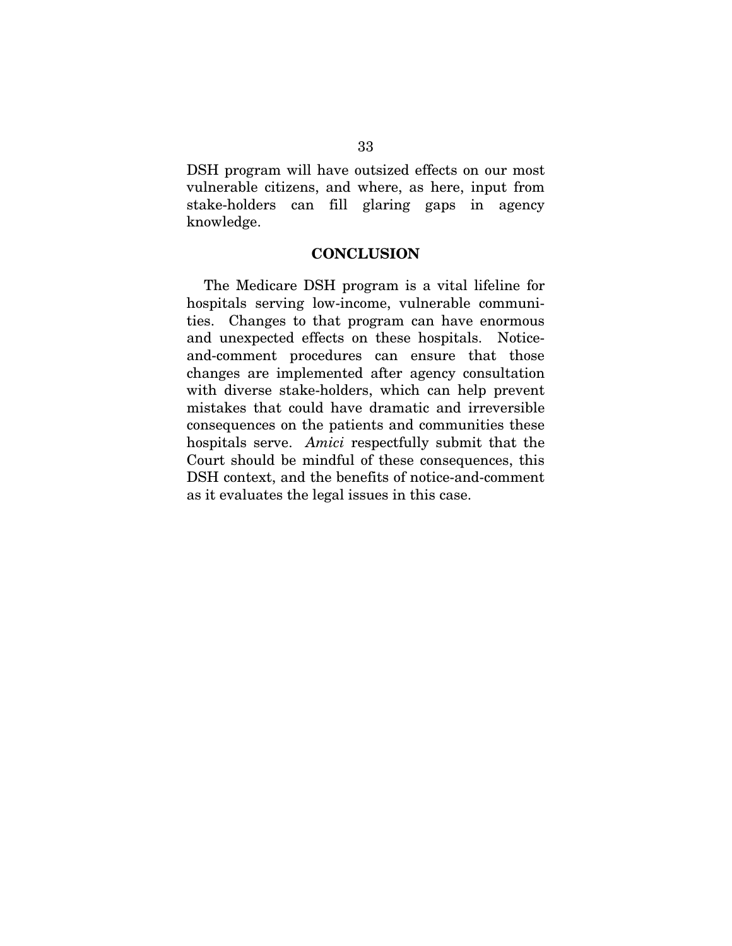DSH program will have outsized effects on our most vulnerable citizens, and where, as here, input from stake-holders can fill glaring gaps in agency knowledge.

### **CONCLUSION**

The Medicare DSH program is a vital lifeline for hospitals serving low-income, vulnerable communities. Changes to that program can have enormous and unexpected effects on these hospitals. Noticeand-comment procedures can ensure that those changes are implemented after agency consultation with diverse stake-holders, which can help prevent mistakes that could have dramatic and irreversible consequences on the patients and communities these hospitals serve. *Amici* respectfully submit that the Court should be mindful of these consequences, this DSH context, and the benefits of notice-and-comment as it evaluates the legal issues in this case.